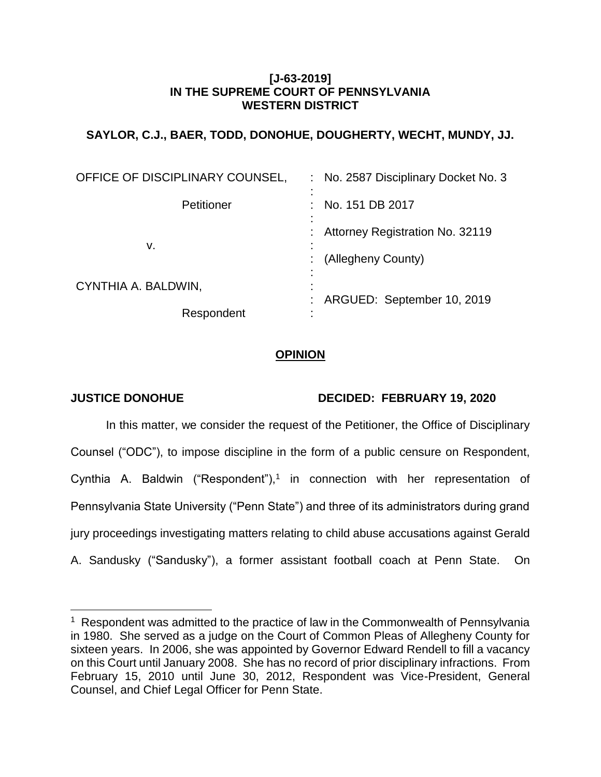## **[J-63-2019] IN THE SUPREME COURT OF PENNSYLVANIA WESTERN DISTRICT**

# **SAYLOR, C.J., BAER, TODD, DONOHUE, DOUGHERTY, WECHT, MUNDY, JJ.**

| OFFICE OF DISCIPLINARY COUNSEL, | : No. 2587 Disciplinary Docket No. 3   |
|---------------------------------|----------------------------------------|
| Petitioner                      | No. 151 DB 2017                        |
| v.                              | <b>Attorney Registration No. 32119</b> |
|                                 | (Allegheny County)                     |
| CYNTHIA A. BALDWIN,             | : ARGUED: September 10, 2019           |
| Respondent                      |                                        |

## **OPINION**

 $\overline{a}$ 

## **JUSTICE DONOHUE DECIDED: FEBRUARY 19, 2020**

In this matter, we consider the request of the Petitioner, the Office of Disciplinary Counsel ("ODC"), to impose discipline in the form of a public censure on Respondent, Cynthia A. Baldwin ("Respondent"),<sup>1</sup> in connection with her representation of Pennsylvania State University ("Penn State") and three of its administrators during grand jury proceedings investigating matters relating to child abuse accusations against Gerald A. Sandusky ("Sandusky"), a former assistant football coach at Penn State. On

<sup>&</sup>lt;sup>1</sup> Respondent was admitted to the practice of law in the Commonwealth of Pennsylvania in 1980. She served as a judge on the Court of Common Pleas of Allegheny County for sixteen years. In 2006, she was appointed by Governor Edward Rendell to fill a vacancy on this Court until January 2008. She has no record of prior disciplinary infractions. From February 15, 2010 until June 30, 2012, Respondent was Vice-President, General Counsel, and Chief Legal Officer for Penn State.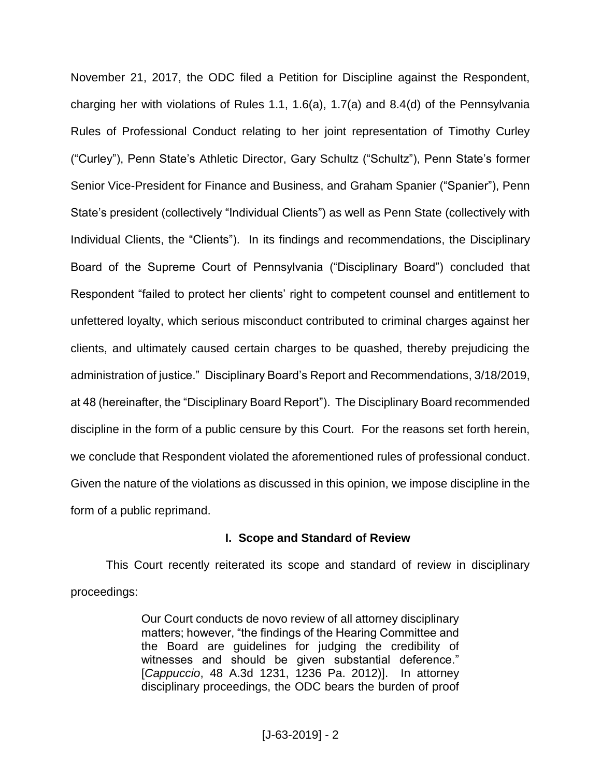November 21, 2017, the ODC filed a Petition for Discipline against the Respondent, charging her with violations of Rules 1.1, 1.6(a), 1.7(a) and 8.4(d) of the Pennsylvania Rules of Professional Conduct relating to her joint representation of Timothy Curley ("Curley"), Penn State's Athletic Director, Gary Schultz ("Schultz"), Penn State's former Senior Vice-President for Finance and Business, and Graham Spanier ("Spanier"), Penn State's president (collectively "Individual Clients") as well as Penn State (collectively with Individual Clients, the "Clients"). In its findings and recommendations, the Disciplinary Board of the Supreme Court of Pennsylvania ("Disciplinary Board") concluded that Respondent "failed to protect her clients' right to competent counsel and entitlement to unfettered loyalty, which serious misconduct contributed to criminal charges against her clients, and ultimately caused certain charges to be quashed, thereby prejudicing the administration of justice." Disciplinary Board's Report and Recommendations, 3/18/2019, at 48 (hereinafter, the "Disciplinary Board Report"). The Disciplinary Board recommended discipline in the form of a public censure by this Court. For the reasons set forth herein, we conclude that Respondent violated the aforementioned rules of professional conduct. Given the nature of the violations as discussed in this opinion, we impose discipline in the form of a public reprimand.

## **I. Scope and Standard of Review**

This Court recently reiterated its scope and standard of review in disciplinary proceedings:

> Our Court conducts de novo review of all attorney disciplinary matters; however, "the findings of the Hearing Committee and the Board are guidelines for judging the credibility of witnesses and should be given substantial deference." [*Cappuccio*, 48 A.3d 1231, 1236 Pa. 2012)]. In attorney disciplinary proceedings, the ODC bears the burden of proof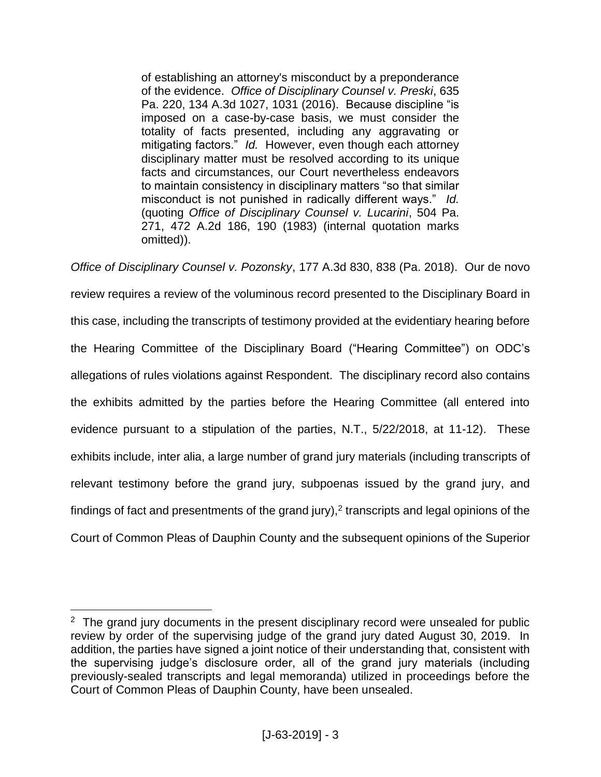of establishing an attorney's misconduct by a preponderance of the evidence. *Office of Disciplinary Counsel v. Preski*, 635 Pa. 220, 134 A.3d 1027, 1031 (2016). Because discipline "is imposed on a case-by-case basis, we must consider the totality of facts presented, including any aggravating or mitigating factors." *Id.* However, even though each attorney disciplinary matter must be resolved according to its unique facts and circumstances, our Court nevertheless endeavors to maintain consistency in disciplinary matters "so that similar misconduct is not punished in radically different ways." *Id.* (quoting *Office of Disciplinary Counsel v. Lucarini*, 504 Pa. 271, 472 A.2d 186, 190 (1983) (internal quotation marks omitted)).

*Office of Disciplinary Counsel v. Pozonsky*, 177 A.3d 830, 838 (Pa. 2018). Our de novo review requires a review of the voluminous record presented to the Disciplinary Board in this case, including the transcripts of testimony provided at the evidentiary hearing before the Hearing Committee of the Disciplinary Board ("Hearing Committee") on ODC's allegations of rules violations against Respondent. The disciplinary record also contains the exhibits admitted by the parties before the Hearing Committee (all entered into evidence pursuant to a stipulation of the parties, N.T., 5/22/2018, at 11-12). These exhibits include, inter alia, a large number of grand jury materials (including transcripts of relevant testimony before the grand jury, subpoenas issued by the grand jury, and findings of fact and presentments of the grand jury),<sup>2</sup> transcripts and legal opinions of the Court of Common Pleas of Dauphin County and the subsequent opinions of the Superior

<sup>&</sup>lt;sup>2</sup> The grand jury documents in the present disciplinary record were unsealed for public review by order of the supervising judge of the grand jury dated August 30, 2019. In addition, the parties have signed a joint notice of their understanding that, consistent with the supervising judge's disclosure order, all of the grand jury materials (including previously-sealed transcripts and legal memoranda) utilized in proceedings before the Court of Common Pleas of Dauphin County, have been unsealed.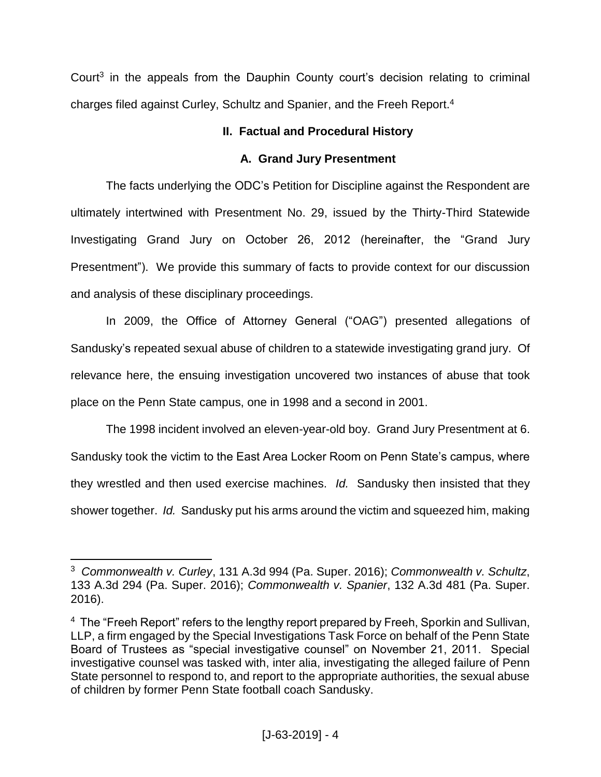Court<sup>3</sup> in the appeals from the Dauphin County court's decision relating to criminal charges filed against Curley, Schultz and Spanier, and the Freeh Report.<sup>4</sup>

# **II. Factual and Procedural History**

# **A. Grand Jury Presentment**

The facts underlying the ODC's Petition for Discipline against the Respondent are ultimately intertwined with Presentment No. 29, issued by the Thirty-Third Statewide Investigating Grand Jury on October 26, 2012 (hereinafter, the "Grand Jury Presentment"). We provide this summary of facts to provide context for our discussion and analysis of these disciplinary proceedings.

In 2009, the Office of Attorney General ("OAG") presented allegations of Sandusky's repeated sexual abuse of children to a statewide investigating grand jury. Of relevance here, the ensuing investigation uncovered two instances of abuse that took place on the Penn State campus, one in 1998 and a second in 2001.

The 1998 incident involved an eleven-year-old boy. Grand Jury Presentment at 6. Sandusky took the victim to the East Area Locker Room on Penn State's campus, where they wrestled and then used exercise machines. *Id.* Sandusky then insisted that they shower together. *Id.* Sandusky put his arms around the victim and squeezed him, making

<sup>3</sup> *Commonwealth v. Curley*, 131 A.3d 994 (Pa. Super. 2016); *Commonwealth v. Schultz*, 133 A.3d 294 (Pa. Super. 2016); *Commonwealth v. Spanier*, 132 A.3d 481 (Pa. Super. 2016).

<sup>&</sup>lt;sup>4</sup> The "Freeh Report" refers to the lengthy report prepared by Freeh, Sporkin and Sullivan, LLP, a firm engaged by the Special Investigations Task Force on behalf of the Penn State Board of Trustees as "special investigative counsel" on November 21, 2011. Special investigative counsel was tasked with, inter alia, investigating the alleged failure of Penn State personnel to respond to, and report to the appropriate authorities, the sexual abuse of children by former Penn State football coach Sandusky.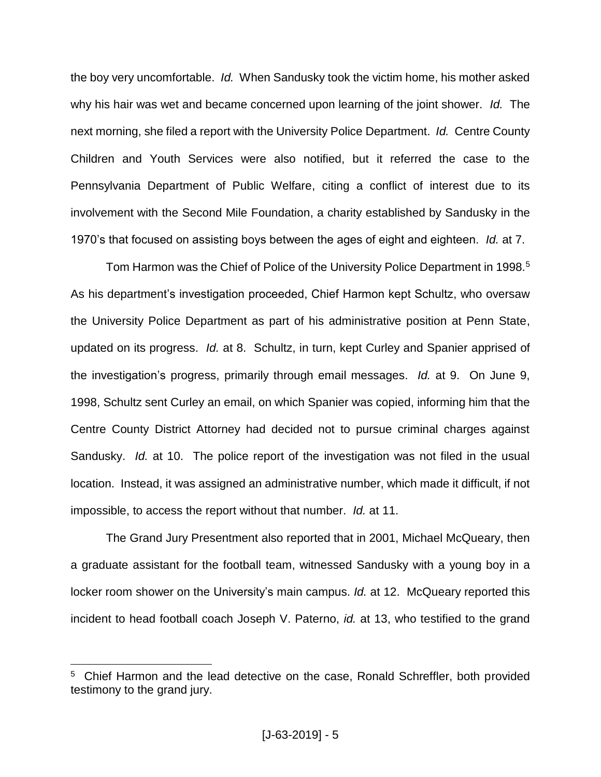the boy very uncomfortable. *Id.* When Sandusky took the victim home, his mother asked why his hair was wet and became concerned upon learning of the joint shower. *Id.* The next morning, she filed a report with the University Police Department. *Id.* Centre County Children and Youth Services were also notified, but it referred the case to the Pennsylvania Department of Public Welfare, citing a conflict of interest due to its involvement with the Second Mile Foundation, a charity established by Sandusky in the 1970's that focused on assisting boys between the ages of eight and eighteen. *Id.* at 7.

Tom Harmon was the Chief of Police of the University Police Department in 1998.<sup>5</sup> As his department's investigation proceeded, Chief Harmon kept Schultz, who oversaw the University Police Department as part of his administrative position at Penn State, updated on its progress. *Id.* at 8. Schultz, in turn, kept Curley and Spanier apprised of the investigation's progress, primarily through email messages. *Id.* at 9. On June 9, 1998, Schultz sent Curley an email, on which Spanier was copied, informing him that the Centre County District Attorney had decided not to pursue criminal charges against Sandusky. *Id.* at 10. The police report of the investigation was not filed in the usual location. Instead, it was assigned an administrative number, which made it difficult, if not impossible, to access the report without that number. *Id.* at 11.

The Grand Jury Presentment also reported that in 2001, Michael McQueary, then a graduate assistant for the football team, witnessed Sandusky with a young boy in a locker room shower on the University's main campus. *Id.* at 12. McQueary reported this incident to head football coach Joseph V. Paterno, *id.* at 13, who testified to the grand

<sup>&</sup>lt;sup>5</sup> Chief Harmon and the lead detective on the case, Ronald Schreffler, both provided testimony to the grand jury.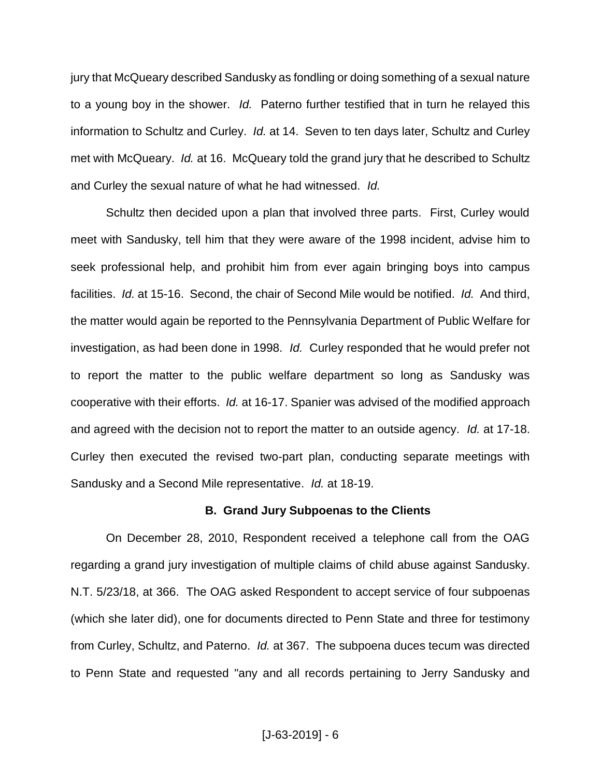jury that McQueary described Sandusky as fondling or doing something of a sexual nature to a young boy in the shower. *Id.* Paterno further testified that in turn he relayed this information to Schultz and Curley. *Id.* at 14. Seven to ten days later, Schultz and Curley met with McQueary. *Id.* at 16. McQueary told the grand jury that he described to Schultz and Curley the sexual nature of what he had witnessed. *Id.*

Schultz then decided upon a plan that involved three parts. First, Curley would meet with Sandusky, tell him that they were aware of the 1998 incident, advise him to seek professional help, and prohibit him from ever again bringing boys into campus facilities. *Id.* at 15-16. Second, the chair of Second Mile would be notified. *Id.* And third, the matter would again be reported to the Pennsylvania Department of Public Welfare for investigation, as had been done in 1998. *Id.* Curley responded that he would prefer not to report the matter to the public welfare department so long as Sandusky was cooperative with their efforts. *Id.* at 16-17. Spanier was advised of the modified approach and agreed with the decision not to report the matter to an outside agency. *Id.* at 17-18. Curley then executed the revised two-part plan, conducting separate meetings with Sandusky and a Second Mile representative. *Id.* at 18-19.

#### **B. Grand Jury Subpoenas to the Clients**

On December 28, 2010, Respondent received a telephone call from the OAG regarding a grand jury investigation of multiple claims of child abuse against Sandusky. N.T. 5/23/18, at 366. The OAG asked Respondent to accept service of four subpoenas (which she later did), one for documents directed to Penn State and three for testimony from Curley, Schultz, and Paterno. *Id.* at 367. The subpoena duces tecum was directed to Penn State and requested "any and all records pertaining to Jerry Sandusky and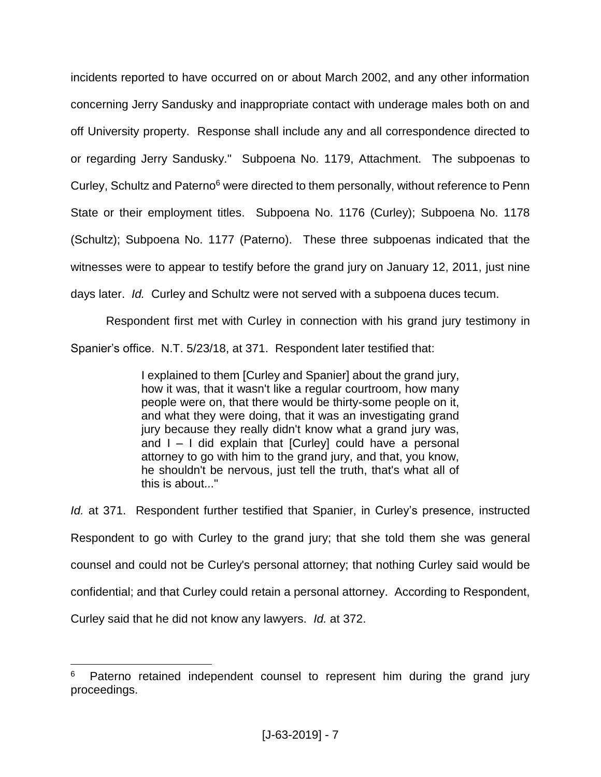incidents reported to have occurred on or about March 2002, and any other information concerning Jerry Sandusky and inappropriate contact with underage males both on and off University property. Response shall include any and all correspondence directed to or regarding Jerry Sandusky." Subpoena No. 1179, Attachment. The subpoenas to Curley, Schultz and Paterno<sup>6</sup> were directed to them personally, without reference to Penn State or their employment titles. Subpoena No. 1176 (Curley); Subpoena No. 1178 (Schultz); Subpoena No. 1177 (Paterno). These three subpoenas indicated that the witnesses were to appear to testify before the grand jury on January 12, 2011, just nine days later. *Id.* Curley and Schultz were not served with a subpoena duces tecum.

Respondent first met with Curley in connection with his grand jury testimony in Spanier's office. N.T. 5/23/18, at 371. Respondent later testified that:

> I explained to them [Curley and Spanier] about the grand jury, how it was, that it wasn't like a regular courtroom, how many people were on, that there would be thirty-some people on it, and what they were doing, that it was an investigating grand jury because they really didn't know what a grand jury was, and I – I did explain that [Curley] could have a personal attorney to go with him to the grand jury, and that, you know, he shouldn't be nervous, just tell the truth, that's what all of this is about..."

*Id.* at 371. Respondent further testified that Spanier, in Curley's presence, instructed Respondent to go with Curley to the grand jury; that she told them she was general counsel and could not be Curley's personal attorney; that nothing Curley said would be confidential; and that Curley could retain a personal attorney. According to Respondent,

Curley said that he did not know any lawyers. *Id.* at 372.

<sup>6</sup> Paterno retained independent counsel to represent him during the grand jury proceedings.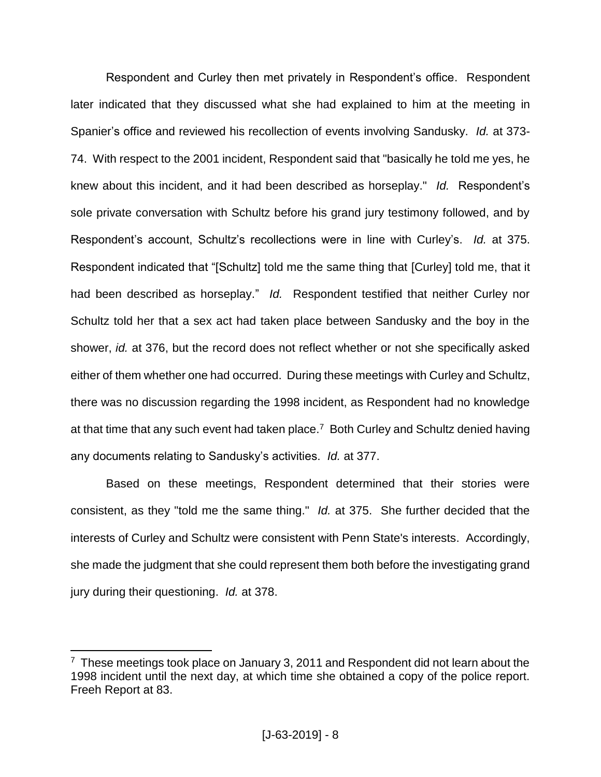Respondent and Curley then met privately in Respondent's office. Respondent later indicated that they discussed what she had explained to him at the meeting in Spanier's office and reviewed his recollection of events involving Sandusky. *Id.* at 373- 74. With respect to the 2001 incident, Respondent said that "basically he told me yes, he knew about this incident, and it had been described as horseplay." *Id.* Respondent's sole private conversation with Schultz before his grand jury testimony followed, and by Respondent's account, Schultz's recollections were in line with Curley's. *Id.* at 375. Respondent indicated that "[Schultz] told me the same thing that [Curley] told me, that it had been described as horseplay." *Id.* Respondent testified that neither Curley nor Schultz told her that a sex act had taken place between Sandusky and the boy in the shower, *id.* at 376, but the record does not reflect whether or not she specifically asked either of them whether one had occurred. During these meetings with Curley and Schultz, there was no discussion regarding the 1998 incident, as Respondent had no knowledge at that time that any such event had taken place.<sup>7</sup> Both Curley and Schultz denied having any documents relating to Sandusky's activities. *Id.* at 377.

Based on these meetings, Respondent determined that their stories were consistent, as they "told me the same thing." *Id.* at 375. She further decided that the interests of Curley and Schultz were consistent with Penn State's interests. Accordingly, she made the judgment that she could represent them both before the investigating grand jury during their questioning. *Id.* at 378.

 $7$  These meetings took place on January 3, 2011 and Respondent did not learn about the 1998 incident until the next day, at which time she obtained a copy of the police report. Freeh Report at 83.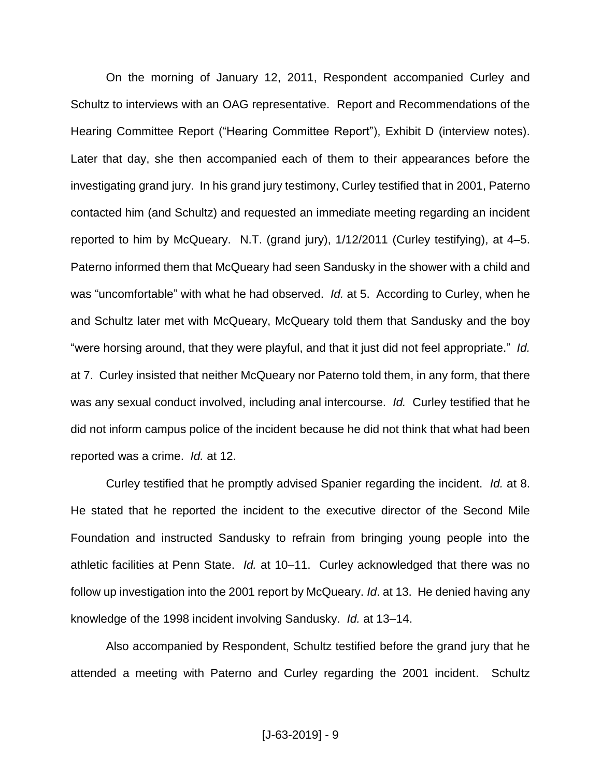On the morning of January 12, 2011, Respondent accompanied Curley and Schultz to interviews with an OAG representative. Report and Recommendations of the Hearing Committee Report ("Hearing Committee Report"), Exhibit D (interview notes). Later that day, she then accompanied each of them to their appearances before the investigating grand jury. In his grand jury testimony, Curley testified that in 2001, Paterno contacted him (and Schultz) and requested an immediate meeting regarding an incident reported to him by McQueary. N.T. (grand jury), 1/12/2011 (Curley testifying), at 4–5. Paterno informed them that McQueary had seen Sandusky in the shower with a child and was "uncomfortable" with what he had observed. *Id.* at 5. According to Curley, when he and Schultz later met with McQueary, McQueary told them that Sandusky and the boy "were horsing around, that they were playful, and that it just did not feel appropriate." *Id.* at 7. Curley insisted that neither McQueary nor Paterno told them, in any form, that there was any sexual conduct involved, including anal intercourse. *Id.* Curley testified that he did not inform campus police of the incident because he did not think that what had been reported was a crime. *Id.* at 12.

Curley testified that he promptly advised Spanier regarding the incident. *Id.* at 8. He stated that he reported the incident to the executive director of the Second Mile Foundation and instructed Sandusky to refrain from bringing young people into the athletic facilities at Penn State. *Id.* at 10–11. Curley acknowledged that there was no follow up investigation into the 2001 report by McQueary. *Id*. at 13. He denied having any knowledge of the 1998 incident involving Sandusky. *Id.* at 13–14.

Also accompanied by Respondent, Schultz testified before the grand jury that he attended a meeting with Paterno and Curley regarding the 2001 incident. Schultz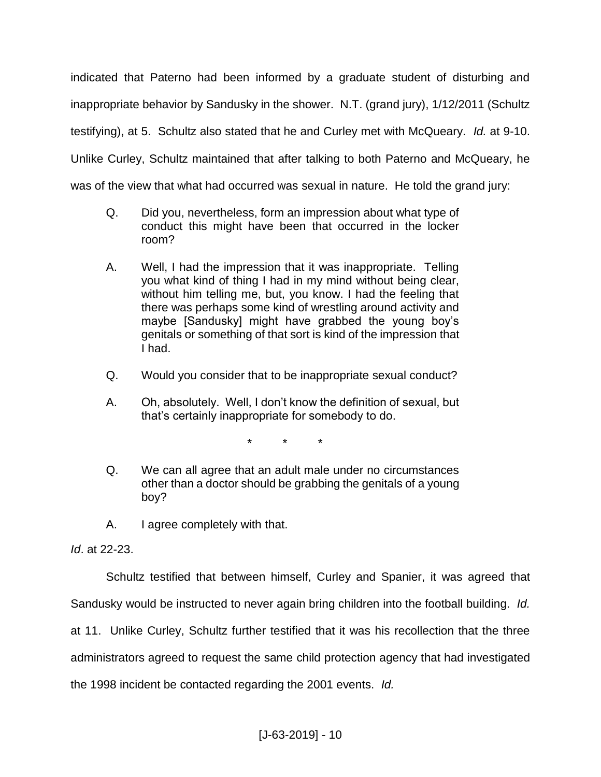indicated that Paterno had been informed by a graduate student of disturbing and inappropriate behavior by Sandusky in the shower. N.T. (grand jury), 1/12/2011 (Schultz testifying), at 5. Schultz also stated that he and Curley met with McQueary. *Id.* at 9-10. Unlike Curley, Schultz maintained that after talking to both Paterno and McQueary, he was of the view that what had occurred was sexual in nature. He told the grand jury:

- Q. Did you, nevertheless, form an impression about what type of conduct this might have been that occurred in the locker room?
- A. Well, I had the impression that it was inappropriate. Telling you what kind of thing I had in my mind without being clear, without him telling me, but, you know. I had the feeling that there was perhaps some kind of wrestling around activity and maybe [Sandusky] might have grabbed the young boy's genitals or something of that sort is kind of the impression that I had.
- Q. Would you consider that to be inappropriate sexual conduct?
- A. Oh, absolutely. Well, I don't know the definition of sexual, but that's certainly inappropriate for somebody to do.

\* \* \*

- Q. We can all agree that an adult male under no circumstances other than a doctor should be grabbing the genitals of a young boy?
- A. I agree completely with that.

*Id*. at 22-23.

Schultz testified that between himself, Curley and Spanier, it was agreed that

Sandusky would be instructed to never again bring children into the football building. *Id.*

at 11. Unlike Curley, Schultz further testified that it was his recollection that the three

administrators agreed to request the same child protection agency that had investigated

the 1998 incident be contacted regarding the 2001 events. *Id.*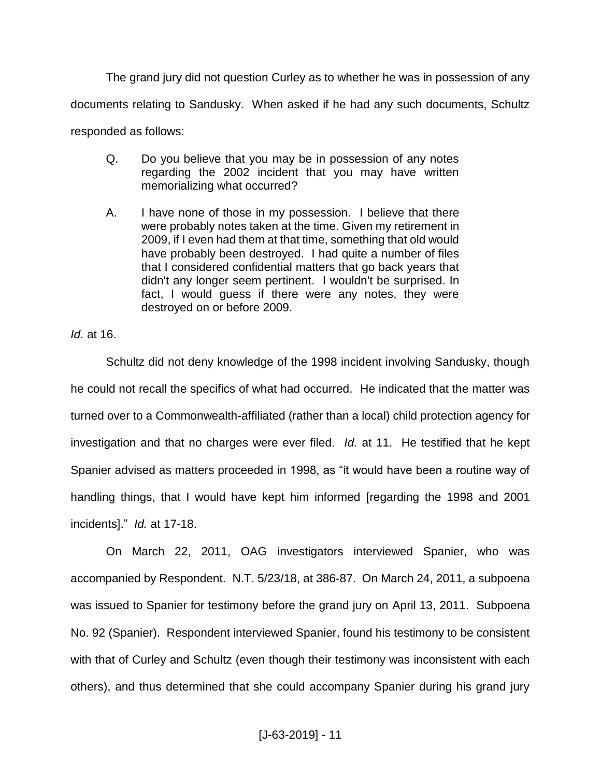The grand jury did not question Curley as to whether he was in possession of any documents relating to Sandusky. When asked if he had any such documents, Schultz responded as follows:

- Q. Do you believe that you may be in possession of any notes regarding the 2002 incident that you may have written memorializing what occurred?
- A. I have none of those in my possession. I believe that there were probably notes taken at the time. Given my retirement in 2009, if I even had them at that time, something that old would have probably been destroyed. I had quite a number of files that I considered confidential matters that go back years that didn't any longer seem pertinent. I wouldn't be surprised. In fact, I would guess if there were any notes, they were destroyed on or before 2009.

*Id.* at 16.

Schultz did not deny knowledge of the 1998 incident involving Sandusky, though he could not recall the specifics of what had occurred. He indicated that the matter was turned over to a Commonwealth-affiliated (rather than a local) child protection agency for investigation and that no charges were ever filed. *Id.* at 11. He testified that he kept Spanier advised as matters proceeded in 1998, as "it would have been a routine way of handling things, that I would have kept him informed [regarding the 1998 and 2001 incidents]." *Id.* at 17-18.

On March 22, 2011, OAG investigators interviewed Spanier, who was accompanied by Respondent. N.T. 5/23/18, at 386-87. On March 24, 2011, a subpoena was issued to Spanier for testimony before the grand jury on April 13, 2011. Subpoena No. 92 (Spanier). Respondent interviewed Spanier, found his testimony to be consistent with that of Curley and Schultz (even though their testimony was inconsistent with each others), and thus determined that she could accompany Spanier during his grand jury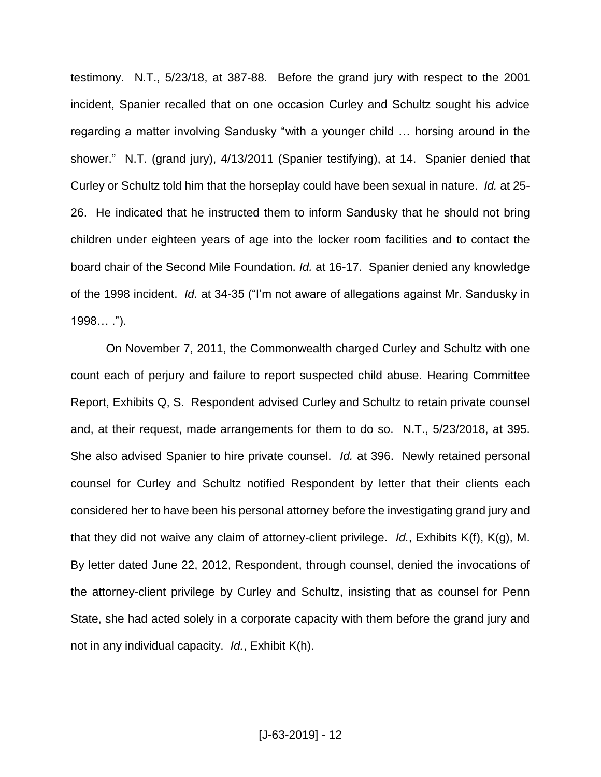testimony. N.T., 5/23/18, at 387-88. Before the grand jury with respect to the 2001 incident, Spanier recalled that on one occasion Curley and Schultz sought his advice regarding a matter involving Sandusky "with a younger child … horsing around in the shower." N.T. (grand jury), 4/13/2011 (Spanier testifying), at 14. Spanier denied that Curley or Schultz told him that the horseplay could have been sexual in nature. *Id.* at 25- 26. He indicated that he instructed them to inform Sandusky that he should not bring children under eighteen years of age into the locker room facilities and to contact the board chair of the Second Mile Foundation. *Id.* at 16-17. Spanier denied any knowledge of the 1998 incident. *Id.* at 34-35 ("I'm not aware of allegations against Mr. Sandusky in 1998… .").

On November 7, 2011, the Commonwealth charged Curley and Schultz with one count each of perjury and failure to report suspected child abuse. Hearing Committee Report, Exhibits Q, S. Respondent advised Curley and Schultz to retain private counsel and, at their request, made arrangements for them to do so. N.T., 5/23/2018, at 395. She also advised Spanier to hire private counsel. *Id.* at 396. Newly retained personal counsel for Curley and Schultz notified Respondent by letter that their clients each considered her to have been his personal attorney before the investigating grand jury and that they did not waive any claim of attorney-client privilege. *Id.*, Exhibits K(f), K(g), M. By letter dated June 22, 2012, Respondent, through counsel, denied the invocations of the attorney-client privilege by Curley and Schultz, insisting that as counsel for Penn State, she had acted solely in a corporate capacity with them before the grand jury and not in any individual capacity. *Id.*, Exhibit K(h).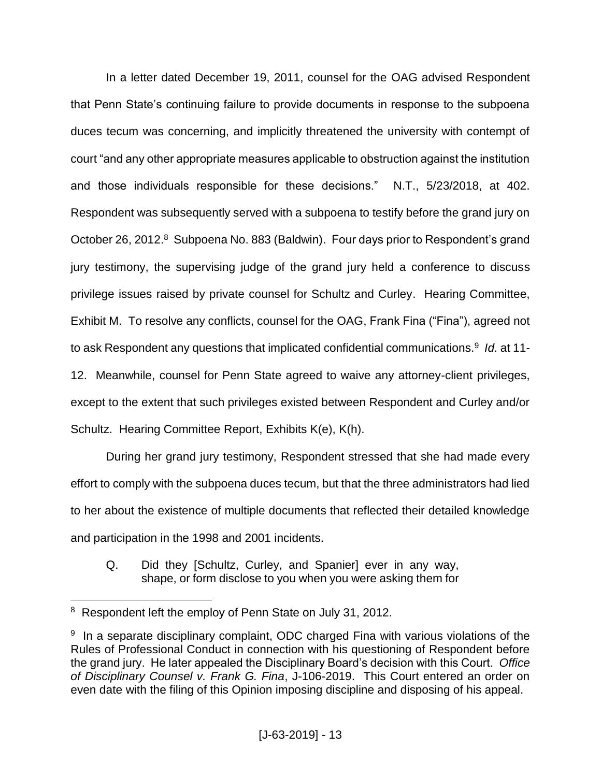In a letter dated December 19, 2011, counsel for the OAG advised Respondent that Penn State's continuing failure to provide documents in response to the subpoena duces tecum was concerning, and implicitly threatened the university with contempt of court "and any other appropriate measures applicable to obstruction against the institution and those individuals responsible for these decisions." N.T., 5/23/2018, at 402. Respondent was subsequently served with a subpoena to testify before the grand jury on October 26, 2012.<sup>8</sup> Subpoena No. 883 (Baldwin). Four days prior to Respondent's grand jury testimony, the supervising judge of the grand jury held a conference to discuss privilege issues raised by private counsel for Schultz and Curley. Hearing Committee, Exhibit M. To resolve any conflicts, counsel for the OAG, Frank Fina ("Fina"), agreed not to ask Respondent any questions that implicated confidential communications.<sup>9</sup> Id. at 11-12. Meanwhile, counsel for Penn State agreed to waive any attorney-client privileges, except to the extent that such privileges existed between Respondent and Curley and/or Schultz. Hearing Committee Report, Exhibits K(e), K(h).

During her grand jury testimony, Respondent stressed that she had made every effort to comply with the subpoena duces tecum, but that the three administrators had lied to her about the existence of multiple documents that reflected their detailed knowledge and participation in the 1998 and 2001 incidents.

Q. Did they [Schultz, Curley, and Spanier] ever in any way, shape, or form disclose to you when you were asking them for

<sup>&</sup>lt;sup>8</sup> Respondent left the employ of Penn State on July 31, 2012.

<sup>&</sup>lt;sup>9</sup> In a separate disciplinary complaint, ODC charged Fina with various violations of the Rules of Professional Conduct in connection with his questioning of Respondent before the grand jury. He later appealed the Disciplinary Board's decision with this Court. *Office of Disciplinary Counsel v. Frank G. Fina*, J-106-2019. This Court entered an order on even date with the filing of this Opinion imposing discipline and disposing of his appeal.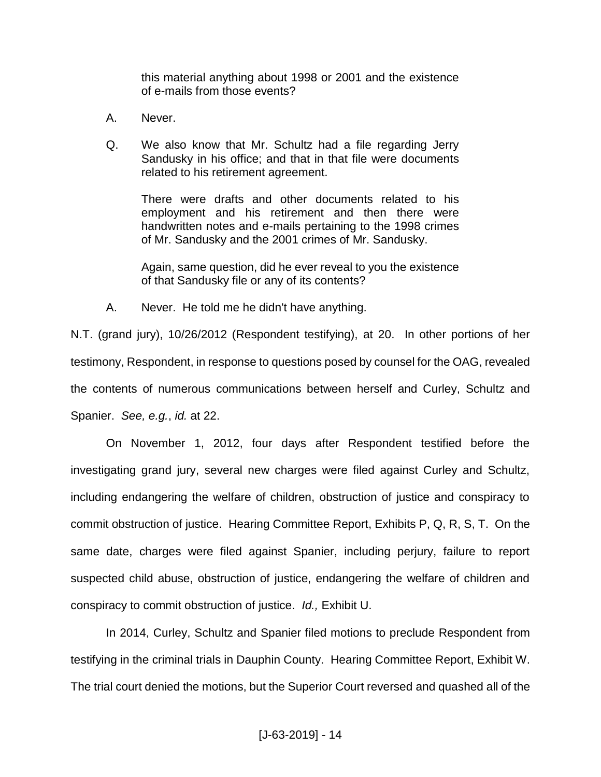this material anything about 1998 or 2001 and the existence of e-mails from those events?

- A. Never.
- Q. We also know that Mr. Schultz had a file regarding Jerry Sandusky in his office; and that in that file were documents related to his retirement agreement.

There were drafts and other documents related to his employment and his retirement and then there were handwritten notes and e-mails pertaining to the 1998 crimes of Mr. Sandusky and the 2001 crimes of Mr. Sandusky.

Again, same question, did he ever reveal to you the existence of that Sandusky file or any of its contents?

A. Never. He told me he didn't have anything.

N.T. (grand jury), 10/26/2012 (Respondent testifying), at 20. In other portions of her testimony, Respondent, in response to questions posed by counsel for the OAG, revealed the contents of numerous communications between herself and Curley, Schultz and Spanier. *See, e.g.*, *id.* at 22.

On November 1, 2012, four days after Respondent testified before the investigating grand jury, several new charges were filed against Curley and Schultz, including endangering the welfare of children, obstruction of justice and conspiracy to commit obstruction of justice. Hearing Committee Report, Exhibits P, Q, R, S, T. On the same date, charges were filed against Spanier, including perjury, failure to report suspected child abuse, obstruction of justice, endangering the welfare of children and conspiracy to commit obstruction of justice. *Id.,* Exhibit U.

In 2014, Curley, Schultz and Spanier filed motions to preclude Respondent from testifying in the criminal trials in Dauphin County. Hearing Committee Report, Exhibit W. The trial court denied the motions, but the Superior Court reversed and quashed all of the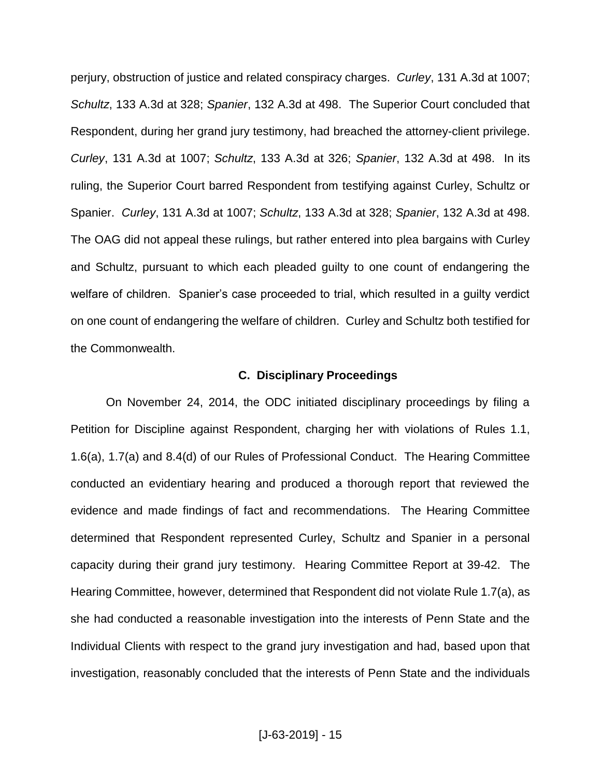perjury, obstruction of justice and related conspiracy charges. *Curley*, 131 A.3d at 1007; *Schultz*, 133 A.3d at 328; *Spanier*, 132 A.3d at 498. The Superior Court concluded that Respondent, during her grand jury testimony, had breached the attorney-client privilege. *Curley*, 131 A.3d at 1007; *Schultz*, 133 A.3d at 326; *Spanier*, 132 A.3d at 498. In its ruling, the Superior Court barred Respondent from testifying against Curley, Schultz or Spanier. *Curley*, 131 A.3d at 1007; *Schultz*, 133 A.3d at 328; *Spanier*, 132 A.3d at 498. The OAG did not appeal these rulings, but rather entered into plea bargains with Curley and Schultz, pursuant to which each pleaded guilty to one count of endangering the welfare of children. Spanier's case proceeded to trial, which resulted in a guilty verdict on one count of endangering the welfare of children. Curley and Schultz both testified for the Commonwealth.

## **C. Disciplinary Proceedings**

On November 24, 2014, the ODC initiated disciplinary proceedings by filing a Petition for Discipline against Respondent, charging her with violations of Rules 1.1, 1.6(a), 1.7(a) and 8.4(d) of our Rules of Professional Conduct. The Hearing Committee conducted an evidentiary hearing and produced a thorough report that reviewed the evidence and made findings of fact and recommendations. The Hearing Committee determined that Respondent represented Curley, Schultz and Spanier in a personal capacity during their grand jury testimony. Hearing Committee Report at 39-42. The Hearing Committee, however, determined that Respondent did not violate Rule 1.7(a), as she had conducted a reasonable investigation into the interests of Penn State and the Individual Clients with respect to the grand jury investigation and had, based upon that investigation, reasonably concluded that the interests of Penn State and the individuals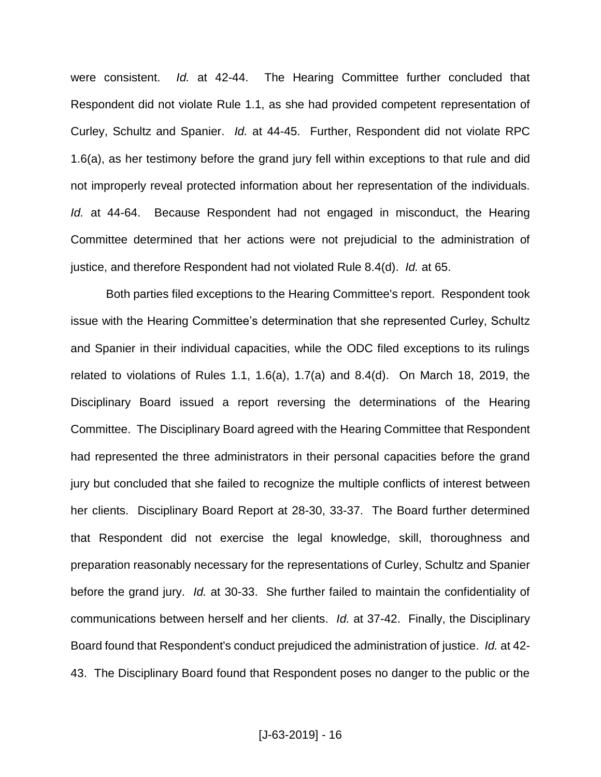were consistent. *Id.* at 42-44. The Hearing Committee further concluded that Respondent did not violate Rule 1.1, as she had provided competent representation of Curley, Schultz and Spanier. *Id.* at 44-45. Further, Respondent did not violate RPC 1.6(a), as her testimony before the grand jury fell within exceptions to that rule and did not improperly reveal protected information about her representation of the individuals. *Id.* at 44-64. Because Respondent had not engaged in misconduct, the Hearing Committee determined that her actions were not prejudicial to the administration of justice, and therefore Respondent had not violated Rule 8.4(d). *Id.* at 65.

Both parties filed exceptions to the Hearing Committee's report. Respondent took issue with the Hearing Committee's determination that she represented Curley, Schultz and Spanier in their individual capacities, while the ODC filed exceptions to its rulings related to violations of Rules 1.1, 1.6(a), 1.7(a) and 8.4(d). On March 18, 2019, the Disciplinary Board issued a report reversing the determinations of the Hearing Committee. The Disciplinary Board agreed with the Hearing Committee that Respondent had represented the three administrators in their personal capacities before the grand jury but concluded that she failed to recognize the multiple conflicts of interest between her clients. Disciplinary Board Report at 28-30, 33-37. The Board further determined that Respondent did not exercise the legal knowledge, skill, thoroughness and preparation reasonably necessary for the representations of Curley, Schultz and Spanier before the grand jury. *Id.* at 30-33. She further failed to maintain the confidentiality of communications between herself and her clients. *Id.* at 37-42. Finally, the Disciplinary Board found that Respondent's conduct prejudiced the administration of justice. *Id.* at 42- 43. The Disciplinary Board found that Respondent poses no danger to the public or the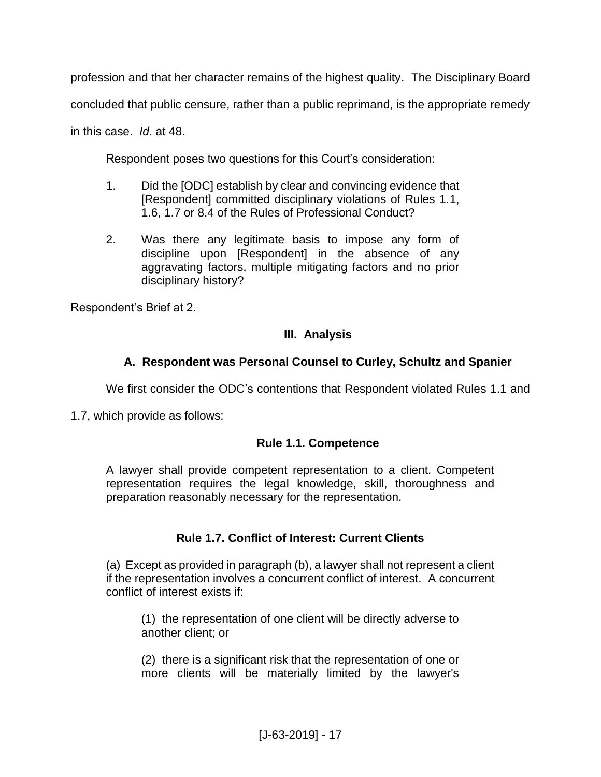profession and that her character remains of the highest quality. The Disciplinary Board

concluded that public censure, rather than a public reprimand, is the appropriate remedy

in this case. *Id.* at 48.

Respondent poses two questions for this Court's consideration:

- 1. Did the [ODC] establish by clear and convincing evidence that [Respondent] committed disciplinary violations of Rules 1.1, 1.6, 1.7 or 8.4 of the Rules of Professional Conduct?
- 2. Was there any legitimate basis to impose any form of discipline upon [Respondent] in the absence of any aggravating factors, multiple mitigating factors and no prior disciplinary history?

Respondent's Brief at 2.

## **III. Analysis**

## **A. Respondent was Personal Counsel to Curley, Schultz and Spanier**

We first consider the ODC's contentions that Respondent violated Rules 1.1 and

1.7, which provide as follows:

## **Rule 1.1. Competence**

A lawyer shall provide competent representation to a client. Competent representation requires the legal knowledge, skill, thoroughness and preparation reasonably necessary for the representation.

## **Rule 1.7. Conflict of Interest: Current Clients**

(a) Except as provided in paragraph (b), a lawyer shall not represent a client if the representation involves a concurrent conflict of interest. A concurrent conflict of interest exists if:

(1) the representation of one client will be directly adverse to another client; or

(2) there is a significant risk that the representation of one or more clients will be materially limited by the lawyer's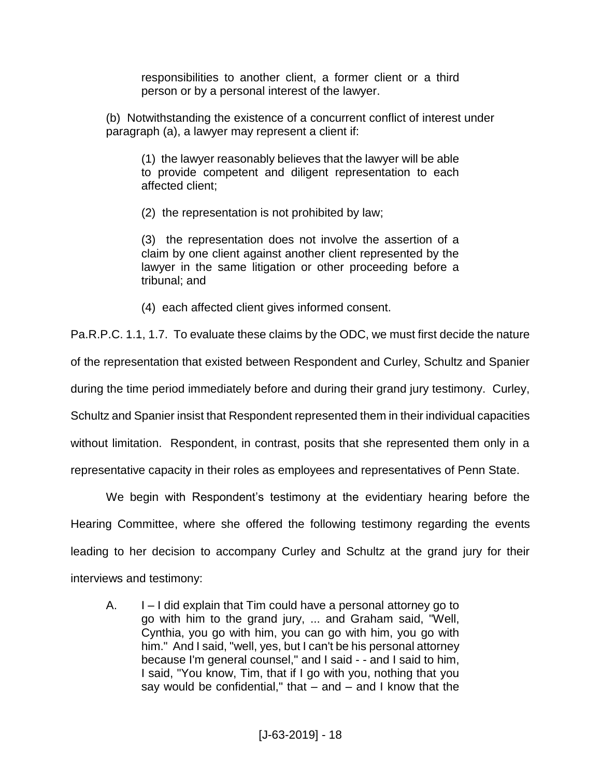responsibilities to another client, a former client or a third person or by a personal interest of the lawyer.

(b) Notwithstanding the existence of a concurrent conflict of interest under paragraph (a), a lawyer may represent a client if:

(1) the lawyer reasonably believes that the lawyer will be able to provide competent and diligent representation to each affected client;

(2) the representation is not prohibited by law;

(3) the representation does not involve the assertion of a claim by one client against another client represented by the lawyer in the same litigation or other proceeding before a tribunal; and

(4) each affected client gives informed consent.

Pa.R.P.C. 1.1, 1.7. To evaluate these claims by the ODC, we must first decide the nature of the representation that existed between Respondent and Curley, Schultz and Spanier during the time period immediately before and during their grand jury testimony. Curley, Schultz and Spanier insist that Respondent represented them in their individual capacities without limitation. Respondent, in contrast, posits that she represented them only in a representative capacity in their roles as employees and representatives of Penn State.

We begin with Respondent's testimony at the evidentiary hearing before the Hearing Committee, where she offered the following testimony regarding the events leading to her decision to accompany Curley and Schultz at the grand jury for their interviews and testimony:

A. I – I did explain that Tim could have a personal attorney go to go with him to the grand jury, ... and Graham said, "Well, Cynthia, you go with him, you can go with him, you go with him." And I said, "well, yes, but I can't be his personal attorney because I'm general counsel," and I said - - and I said to him, I said, "You know, Tim, that if I go with you, nothing that you say would be confidential," that  $-$  and  $-$  and  $1$  know that the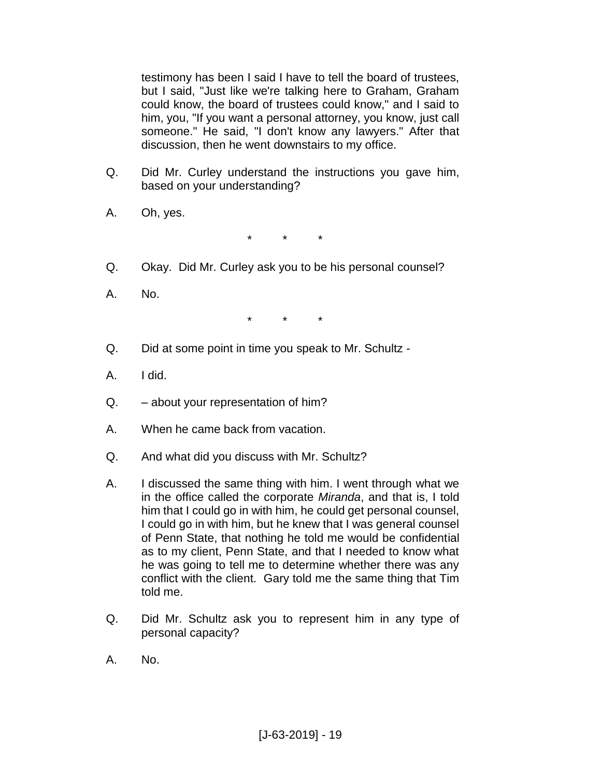testimony has been I said I have to tell the board of trustees, but I said, "Just like we're talking here to Graham, Graham could know, the board of trustees could know," and I said to him, you, "If you want a personal attorney, you know, just call someone." He said, "I don't know any lawyers." After that discussion, then he went downstairs to my office.

- Q. Did Mr. Curley understand the instructions you gave him, based on your understanding?
- A. Oh, yes.

\* \* \*

- Q. Okay. Did Mr. Curley ask you to be his personal counsel?
- A. No.

\* \* \*

- Q. Did at some point in time you speak to Mr. Schultz -
- A. I did.
- Q. about your representation of him?
- A. When he came back from vacation.
- Q. And what did you discuss with Mr. Schultz?
- A. I discussed the same thing with him. I went through what we in the office called the corporate *Miranda*, and that is, I told him that I could go in with him, he could get personal counsel, I could go in with him, but he knew that I was general counsel of Penn State, that nothing he told me would be confidential as to my client, Penn State, and that I needed to know what he was going to tell me to determine whether there was any conflict with the client. Gary told me the same thing that Tim told me.
- Q. Did Mr. Schultz ask you to represent him in any type of personal capacity?
- A. No.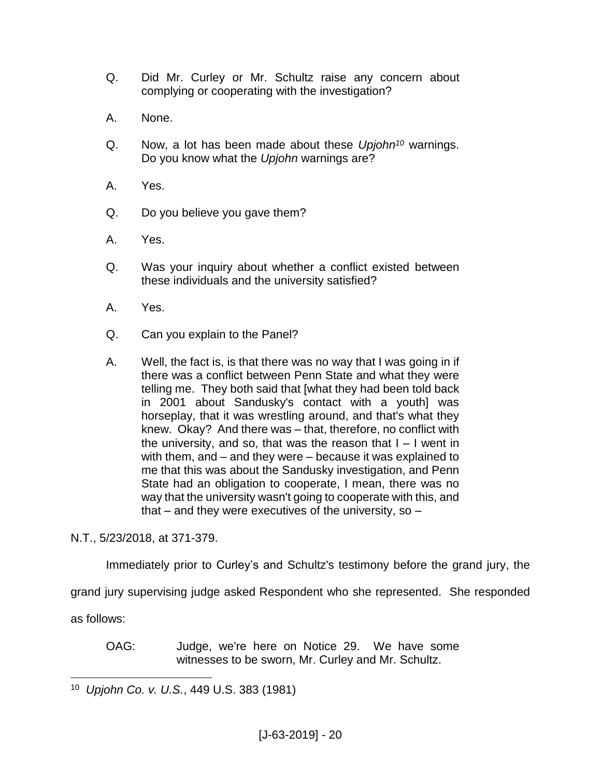- Q. Did Mr. Curley or Mr. Schultz raise any concern about complying or cooperating with the investigation?
- A. None.
- Q. Now, a lot has been made about these *Upjohn<sup>10</sup>* warnings. Do you know what the *Upjohn* warnings are?
- A. Yes.
- Q. Do you believe you gave them?
- A. Yes.
- Q. Was your inquiry about whether a conflict existed between these individuals and the university satisfied?
- A. Yes.
- Q. Can you explain to the Panel?
- A. Well, the fact is, is that there was no way that I was going in if there was a conflict between Penn State and what they were telling me. They both said that [what they had been told back in 2001 about Sandusky's contact with a youth] was horseplay, that it was wrestling around, and that's what they knew. Okay? And there was – that, therefore, no conflict with the university, and so, that was the reason that  $I - I$  went in with them, and – and they were – because it was explained to me that this was about the Sandusky investigation, and Penn State had an obligation to cooperate, I mean, there was no way that the university wasn't going to cooperate with this, and that – and they were executives of the university, so –

N.T., 5/23/2018, at 371-379.

Immediately prior to Curley's and Schultz's testimony before the grand jury, the

grand jury supervising judge asked Respondent who she represented. She responded

as follows:

 $\overline{a}$ 

OAG: Judge, we're here on Notice 29. We have some witnesses to be sworn, Mr. Curley and Mr. Schultz.

<sup>10</sup> *Upjohn Co. v. U.S.*, 449 U.S. 383 (1981)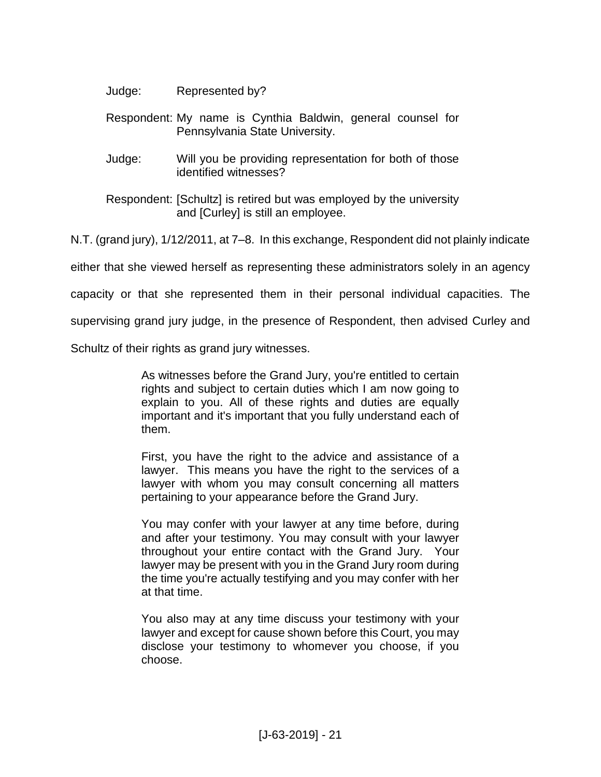Judge: Represented by?

Respondent: My name is Cynthia Baldwin, general counsel for Pennsylvania State University.

Judge: Will you be providing representation for both of those identified witnesses?

Respondent: [Schultz] is retired but was employed by the university and [Curley] is still an employee.

N.T. (grand jury), 1/12/2011, at 7–8. In this exchange, Respondent did not plainly indicate

either that she viewed herself as representing these administrators solely in an agency

capacity or that she represented them in their personal individual capacities. The

supervising grand jury judge, in the presence of Respondent, then advised Curley and

Schultz of their rights as grand jury witnesses.

As witnesses before the Grand Jury, you're entitled to certain rights and subject to certain duties which I am now going to explain to you. All of these rights and duties are equally important and it's important that you fully understand each of them.

First, you have the right to the advice and assistance of a lawyer. This means you have the right to the services of a lawyer with whom you may consult concerning all matters pertaining to your appearance before the Grand Jury.

You may confer with your lawyer at any time before, during and after your testimony. You may consult with your lawyer throughout your entire contact with the Grand Jury. Your lawyer may be present with you in the Grand Jury room during the time you're actually testifying and you may confer with her at that time.

You also may at any time discuss your testimony with your lawyer and except for cause shown before this Court, you may disclose your testimony to whomever you choose, if you choose.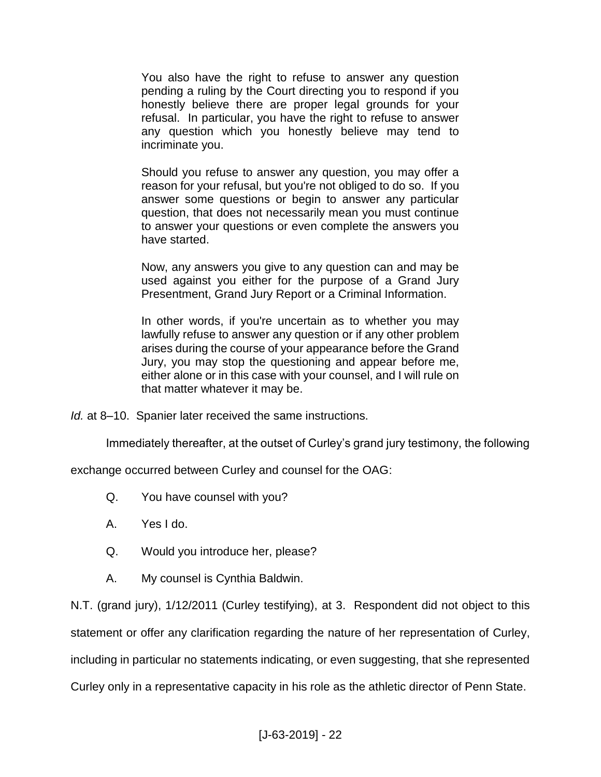You also have the right to refuse to answer any question pending a ruling by the Court directing you to respond if you honestly believe there are proper legal grounds for your refusal. In particular, you have the right to refuse to answer any question which you honestly believe may tend to incriminate you.

Should you refuse to answer any question, you may offer a reason for your refusal, but you're not obliged to do so. If you answer some questions or begin to answer any particular question, that does not necessarily mean you must continue to answer your questions or even complete the answers you have started.

Now, any answers you give to any question can and may be used against you either for the purpose of a Grand Jury Presentment, Grand Jury Report or a Criminal Information.

In other words, if you're uncertain as to whether you may lawfully refuse to answer any question or if any other problem arises during the course of your appearance before the Grand Jury, you may stop the questioning and appear before me, either alone or in this case with your counsel, and I will rule on that matter whatever it may be.

*Id.* at 8–10. Spanier later received the same instructions.

Immediately thereafter, at the outset of Curley's grand jury testimony, the following

exchange occurred between Curley and counsel for the OAG:

- Q. You have counsel with you?
- A. Yes I do.
- Q. Would you introduce her, please?
- A. My counsel is Cynthia Baldwin.

N.T. (grand jury), 1/12/2011 (Curley testifying), at 3. Respondent did not object to this statement or offer any clarification regarding the nature of her representation of Curley, including in particular no statements indicating, or even suggesting, that she represented Curley only in a representative capacity in his role as the athletic director of Penn State.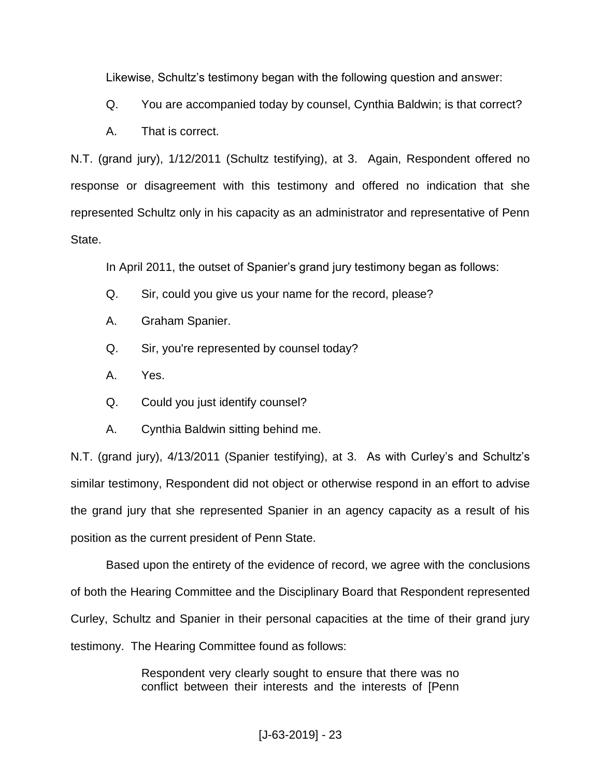Likewise, Schultz's testimony began with the following question and answer:

- Q. You are accompanied today by counsel, Cynthia Baldwin; is that correct?
- A. That is correct.

N.T. (grand jury), 1/12/2011 (Schultz testifying), at 3. Again, Respondent offered no response or disagreement with this testimony and offered no indication that she represented Schultz only in his capacity as an administrator and representative of Penn State.

In April 2011, the outset of Spanier's grand jury testimony began as follows:

- Q. Sir, could you give us your name for the record, please?
- A. Graham Spanier.
- Q. Sir, you're represented by counsel today?
- A. Yes.
- Q. Could you just identify counsel?
- A. Cynthia Baldwin sitting behind me.

N.T. (grand jury), 4/13/2011 (Spanier testifying), at 3. As with Curley's and Schultz's similar testimony, Respondent did not object or otherwise respond in an effort to advise the grand jury that she represented Spanier in an agency capacity as a result of his position as the current president of Penn State.

Based upon the entirety of the evidence of record, we agree with the conclusions of both the Hearing Committee and the Disciplinary Board that Respondent represented Curley, Schultz and Spanier in their personal capacities at the time of their grand jury testimony. The Hearing Committee found as follows:

> Respondent very clearly sought to ensure that there was no conflict between their interests and the interests of [Penn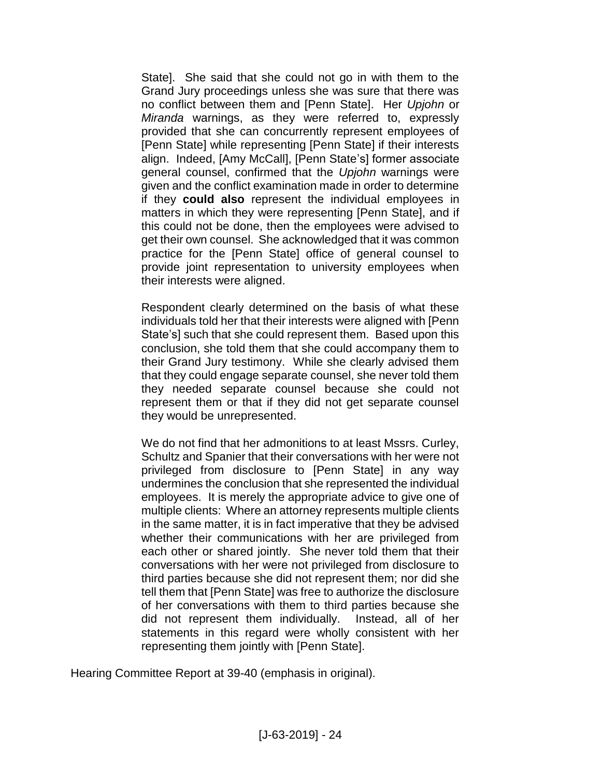State]. She said that she could not go in with them to the Grand Jury proceedings unless she was sure that there was no conflict between them and [Penn State]. Her *Upjohn* or *Miranda* warnings, as they were referred to, expressly provided that she can concurrently represent employees of [Penn State] while representing [Penn State] if their interests align. Indeed, [Amy McCall], [Penn State's] former associate general counsel, confirmed that the *Upjohn* warnings were given and the conflict examination made in order to determine if they **could also** represent the individual employees in matters in which they were representing [Penn State], and if this could not be done, then the employees were advised to get their own counsel. She acknowledged that it was common practice for the [Penn State] office of general counsel to provide joint representation to university employees when their interests were aligned.

Respondent clearly determined on the basis of what these individuals told her that their interests were aligned with [Penn State's] such that she could represent them. Based upon this conclusion, she told them that she could accompany them to their Grand Jury testimony. While she clearly advised them that they could engage separate counsel, she never told them they needed separate counsel because she could not represent them or that if they did not get separate counsel they would be unrepresented.

We do not find that her admonitions to at least Mssrs. Curley, Schultz and Spanier that their conversations with her were not privileged from disclosure to [Penn State] in any way undermines the conclusion that she represented the individual employees. It is merely the appropriate advice to give one of multiple clients: Where an attorney represents multiple clients in the same matter, it is in fact imperative that they be advised whether their communications with her are privileged from each other or shared jointly. She never told them that their conversations with her were not privileged from disclosure to third parties because she did not represent them; nor did she tell them that [Penn State] was free to authorize the disclosure of her conversations with them to third parties because she did not represent them individually. Instead, all of her statements in this regard were wholly consistent with her representing them jointly with [Penn State].

Hearing Committee Report at 39-40 (emphasis in original).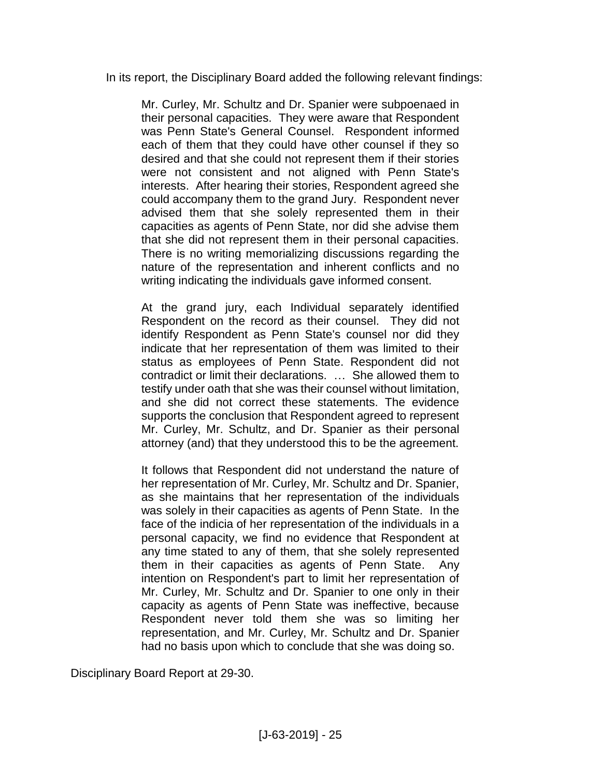In its report, the Disciplinary Board added the following relevant findings:

Mr. Curley, Mr. Schultz and Dr. Spanier were subpoenaed in their personal capacities. They were aware that Respondent was Penn State's General Counsel. Respondent informed each of them that they could have other counsel if they so desired and that she could not represent them if their stories were not consistent and not aligned with Penn State's interests. After hearing their stories, Respondent agreed she could accompany them to the grand Jury. Respondent never advised them that she solely represented them in their capacities as agents of Penn State, nor did she advise them that she did not represent them in their personal capacities. There is no writing memorializing discussions regarding the nature of the representation and inherent conflicts and no writing indicating the individuals gave informed consent.

At the grand jury, each Individual separately identified Respondent on the record as their counsel. They did not identify Respondent as Penn State's counsel nor did they indicate that her representation of them was limited to their status as employees of Penn State. Respondent did not contradict or limit their declarations. … She allowed them to testify under oath that she was their counsel without limitation, and she did not correct these statements. The evidence supports the conclusion that Respondent agreed to represent Mr. Curley, Mr. Schultz, and Dr. Spanier as their personal attorney (and) that they understood this to be the agreement.

It follows that Respondent did not understand the nature of her representation of Mr. Curley, Mr. Schultz and Dr. Spanier, as she maintains that her representation of the individuals was solely in their capacities as agents of Penn State. In the face of the indicia of her representation of the individuals in a personal capacity, we find no evidence that Respondent at any time stated to any of them, that she solely represented them in their capacities as agents of Penn State. Any intention on Respondent's part to limit her representation of Mr. Curley, Mr. Schultz and Dr. Spanier to one only in their capacity as agents of Penn State was ineffective, because Respondent never told them she was so limiting her representation, and Mr. Curley, Mr. Schultz and Dr. Spanier had no basis upon which to conclude that she was doing so.

Disciplinary Board Report at 29-30.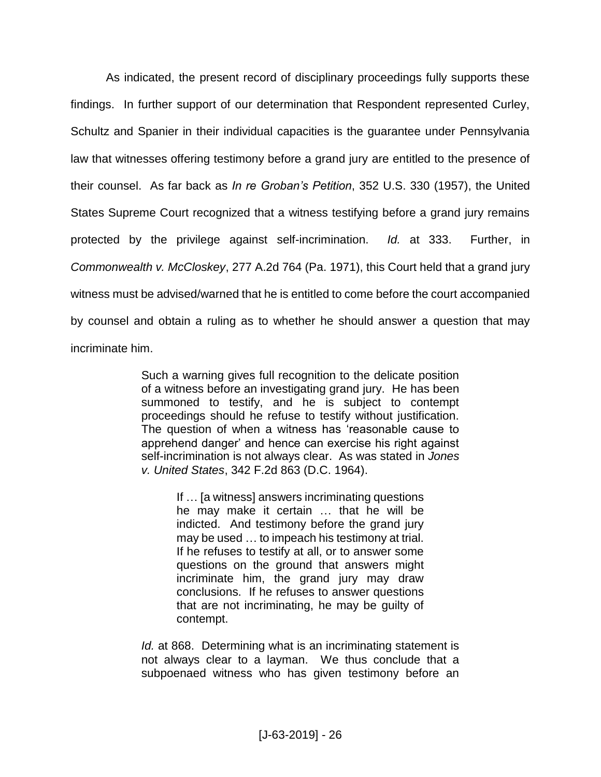As indicated, the present record of disciplinary proceedings fully supports these findings. In further support of our determination that Respondent represented Curley, Schultz and Spanier in their individual capacities is the guarantee under Pennsylvania law that witnesses offering testimony before a grand jury are entitled to the presence of their counsel. As far back as *In re Groban's Petition*, 352 U.S. 330 (1957), the United States Supreme Court recognized that a witness testifying before a grand jury remains protected by the privilege against self-incrimination. *Id.* at 333. Further, in *Commonwealth v. McCloskey*, 277 A.2d 764 (Pa. 1971), this Court held that a grand jury witness must be advised/warned that he is entitled to come before the court accompanied by counsel and obtain a ruling as to whether he should answer a question that may incriminate him.

> Such a warning gives full recognition to the delicate position of a witness before an investigating grand jury. He has been summoned to testify, and he is subject to contempt proceedings should he refuse to testify without justification. The question of when a witness has 'reasonable cause to apprehend danger' and hence can exercise his right against self-incrimination is not always clear. As was stated in *Jones v. United States*, 342 F.2d 863 (D.C. 1964).

> > If … [a witness] answers incriminating questions he may make it certain … that he will be indicted. And testimony before the grand jury may be used … to impeach his testimony at trial. If he refuses to testify at all, or to answer some questions on the ground that answers might incriminate him, the grand jury may draw conclusions. If he refuses to answer questions that are not incriminating, he may be guilty of contempt.

*Id.* at 868. Determining what is an incriminating statement is not always clear to a layman. We thus conclude that a subpoenaed witness who has given testimony before an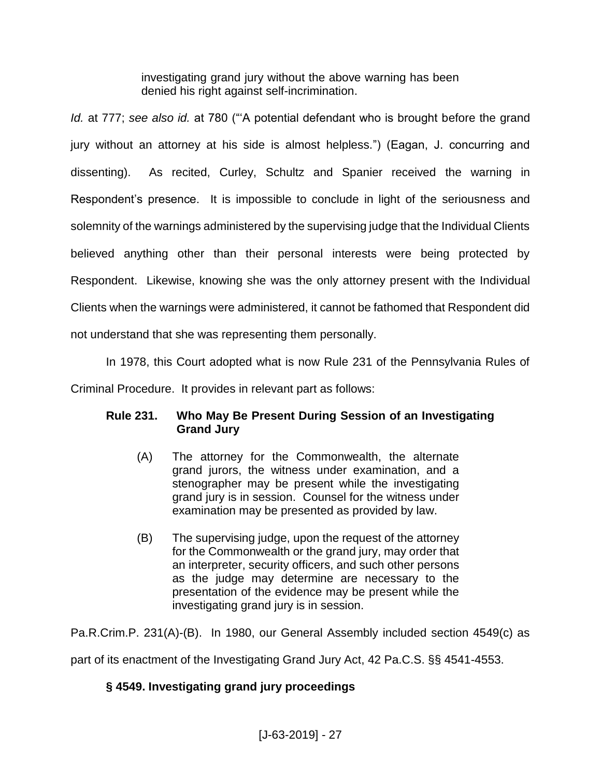investigating grand jury without the above warning has been denied his right against self-incrimination.

*Id.* at 777; *see also id.* at 780 ("'A potential defendant who is brought before the grand jury without an attorney at his side is almost helpless.") (Eagan, J. concurring and dissenting). As recited, Curley, Schultz and Spanier received the warning in Respondent's presence. It is impossible to conclude in light of the seriousness and solemnity of the warnings administered by the supervising judge that the Individual Clients believed anything other than their personal interests were being protected by Respondent. Likewise, knowing she was the only attorney present with the Individual Clients when the warnings were administered, it cannot be fathomed that Respondent did not understand that she was representing them personally.

In 1978, this Court adopted what is now Rule 231 of the Pennsylvania Rules of Criminal Procedure. It provides in relevant part as follows:

# **Rule 231. Who May Be Present During Session of an Investigating Grand Jury**

- (A) The attorney for the Commonwealth, the alternate grand jurors, the witness under examination, and a stenographer may be present while the investigating grand jury is in session. Counsel for the witness under examination may be presented as provided by law.
- (B) The supervising judge, upon the request of the attorney for the Commonwealth or the grand jury, may order that an interpreter, security officers, and such other persons as the judge may determine are necessary to the presentation of the evidence may be present while the investigating grand jury is in session.

Pa.R.Crim.P. 231(A)-(B). In 1980, our General Assembly included section 4549(c) as

part of its enactment of the Investigating Grand Jury Act, 42 Pa.C.S. §§ 4541-4553.

# **§ 4549. Investigating grand jury proceedings**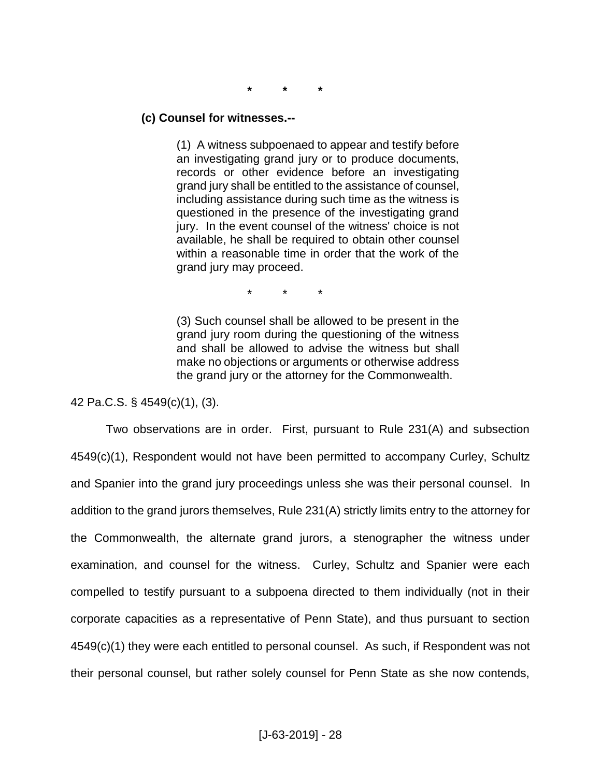## **(c) Counsel for witnesses.--**

(1) A witness subpoenaed to appear and testify before an investigating grand jury or to produce documents, records or other evidence before an investigating grand jury shall be entitled to the assistance of counsel, including assistance during such time as the witness is questioned in the presence of the investigating grand jury. In the event counsel of the witness' choice is not available, he shall be required to obtain other counsel within a reasonable time in order that the work of the grand jury may proceed.

\* \* \*

(3) Such counsel shall be allowed to be present in the grand jury room during the questioning of the witness and shall be allowed to advise the witness but shall make no objections or arguments or otherwise address the grand jury or the attorney for the Commonwealth.

42 Pa.C.S. § 4549(c)(1), (3).

Two observations are in order. First, pursuant to Rule 231(A) and subsection 4549(c)(1), Respondent would not have been permitted to accompany Curley, Schultz and Spanier into the grand jury proceedings unless she was their personal counsel. In addition to the grand jurors themselves, Rule 231(A) strictly limits entry to the attorney for the Commonwealth, the alternate grand jurors, a stenographer the witness under examination, and counsel for the witness. Curley, Schultz and Spanier were each compelled to testify pursuant to a subpoena directed to them individually (not in their corporate capacities as a representative of Penn State), and thus pursuant to section 4549(c)(1) they were each entitled to personal counsel. As such, if Respondent was not their personal counsel, but rather solely counsel for Penn State as she now contends,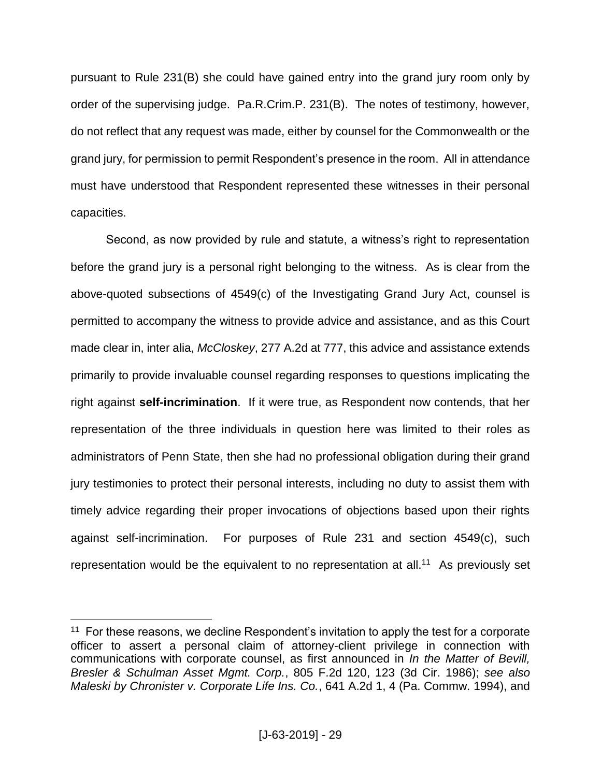pursuant to Rule 231(B) she could have gained entry into the grand jury room only by order of the supervising judge. Pa.R.Crim.P. 231(B). The notes of testimony, however, do not reflect that any request was made, either by counsel for the Commonwealth or the grand jury, for permission to permit Respondent's presence in the room. All in attendance must have understood that Respondent represented these witnesses in their personal capacities.

Second, as now provided by rule and statute, a witness's right to representation before the grand jury is a personal right belonging to the witness. As is clear from the above-quoted subsections of 4549(c) of the Investigating Grand Jury Act, counsel is permitted to accompany the witness to provide advice and assistance, and as this Court made clear in, inter alia, *McCloskey*, 277 A.2d at 777, this advice and assistance extends primarily to provide invaluable counsel regarding responses to questions implicating the right against **self-incrimination**. If it were true, as Respondent now contends, that her representation of the three individuals in question here was limited to their roles as administrators of Penn State, then she had no professional obligation during their grand jury testimonies to protect their personal interests, including no duty to assist them with timely advice regarding their proper invocations of objections based upon their rights against self-incrimination. For purposes of Rule 231 and section 4549(c), such representation would be the equivalent to no representation at all.<sup>11</sup> As previously set

<sup>&</sup>lt;sup>11</sup> For these reasons, we decline Respondent's invitation to apply the test for a corporate officer to assert a personal claim of attorney-client privilege in connection with communications with corporate counsel, as first announced in *In the Matter of Bevill, Bresler & Schulman Asset Mgmt. Corp.*, 805 F.2d 120, 123 (3d Cir. 1986); *see also Maleski by Chronister v. Corporate Life Ins. Co.*, 641 A.2d 1, 4 (Pa. Commw. 1994), and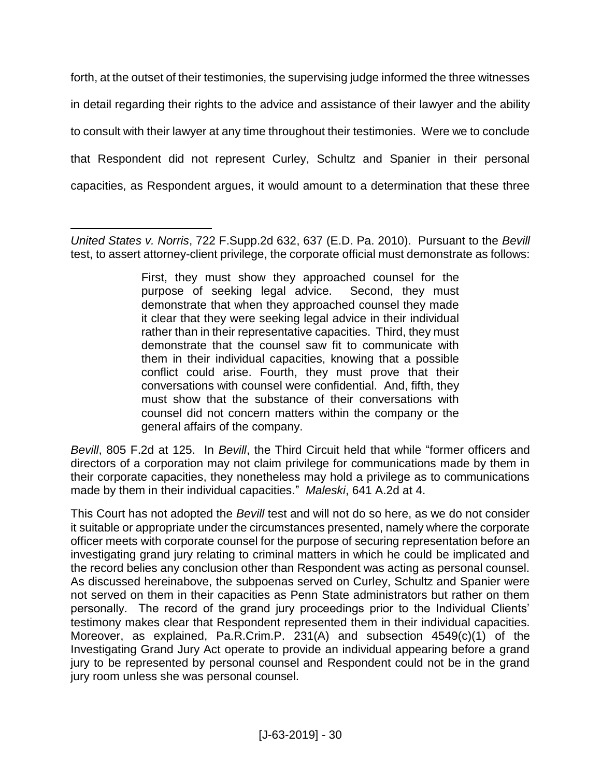forth, at the outset of their testimonies, the supervising judge informed the three witnesses in detail regarding their rights to the advice and assistance of their lawyer and the ability to consult with their lawyer at any time throughout their testimonies. Were we to conclude that Respondent did not represent Curley, Schultz and Spanier in their personal capacities, as Respondent argues, it would amount to a determination that these three

 $\overline{a}$ 

*Bevill*, 805 F.2d at 125. In *Bevill*, the Third Circuit held that while "former officers and directors of a corporation may not claim privilege for communications made by them in their corporate capacities, they nonetheless may hold a privilege as to communications made by them in their individual capacities." *Maleski*, 641 A.2d at 4.

This Court has not adopted the *Bevill* test and will not do so here, as we do not consider it suitable or appropriate under the circumstances presented, namely where the corporate officer meets with corporate counsel for the purpose of securing representation before an investigating grand jury relating to criminal matters in which he could be implicated and the record belies any conclusion other than Respondent was acting as personal counsel. As discussed hereinabove, the subpoenas served on Curley, Schultz and Spanier were not served on them in their capacities as Penn State administrators but rather on them personally. The record of the grand jury proceedings prior to the Individual Clients' testimony makes clear that Respondent represented them in their individual capacities. Moreover, as explained, Pa.R.Crim.P. 231(A) and subsection 4549(c)(1) of the Investigating Grand Jury Act operate to provide an individual appearing before a grand jury to be represented by personal counsel and Respondent could not be in the grand jury room unless she was personal counsel.

*United States v. Norris*, 722 F.Supp.2d 632, 637 (E.D. Pa. 2010). Pursuant to the *Bevill* test, to assert attorney-client privilege, the corporate official must demonstrate as follows:

First, they must show they approached counsel for the purpose of seeking legal advice. Second, they must demonstrate that when they approached counsel they made it clear that they were seeking legal advice in their individual rather than in their representative capacities. Third, they must demonstrate that the counsel saw fit to communicate with them in their individual capacities, knowing that a possible conflict could arise. Fourth, they must prove that their conversations with counsel were confidential. And, fifth, they must show that the substance of their conversations with counsel did not concern matters within the company or the general affairs of the company.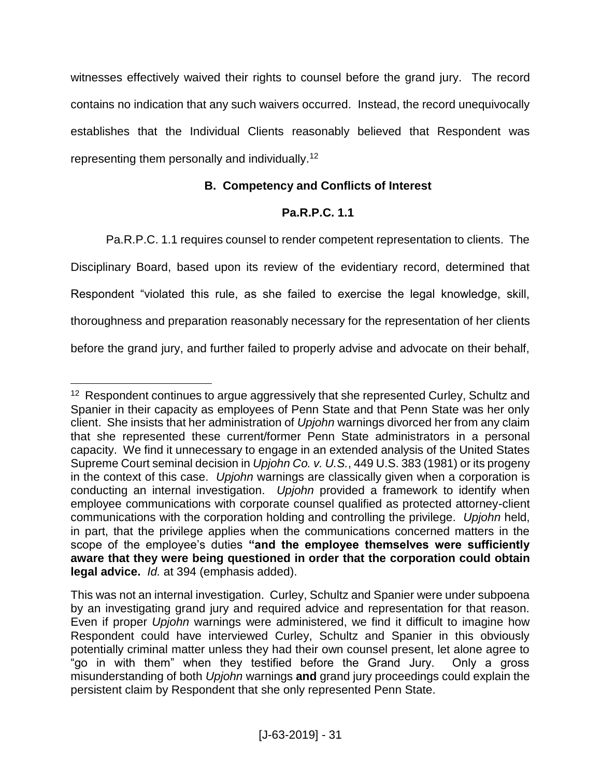witnesses effectively waived their rights to counsel before the grand jury. The record contains no indication that any such waivers occurred. Instead, the record unequivocally establishes that the Individual Clients reasonably believed that Respondent was representing them personally and individually.<sup>12</sup>

# **B. Competency and Conflicts of Interest**

## **Pa.R.P.C. 1.1**

Pa.R.P.C. 1.1 requires counsel to render competent representation to clients. The Disciplinary Board, based upon its review of the evidentiary record, determined that Respondent "violated this rule, as she failed to exercise the legal knowledge, skill, thoroughness and preparation reasonably necessary for the representation of her clients before the grand jury, and further failed to properly advise and advocate on their behalf,

<sup>&</sup>lt;sup>12</sup> Respondent continues to argue aggressively that she represented Curley, Schultz and Spanier in their capacity as employees of Penn State and that Penn State was her only client. She insists that her administration of *Upjohn* warnings divorced her from any claim that she represented these current/former Penn State administrators in a personal capacity. We find it unnecessary to engage in an extended analysis of the United States Supreme Court seminal decision in *Upjohn Co. v. U.S.*, 449 U.S. 383 (1981) or its progeny in the context of this case. *Upjohn* warnings are classically given when a corporation is conducting an internal investigation. *Upjohn* provided a framework to identify when employee communications with corporate counsel qualified as protected attorney-client communications with the corporation holding and controlling the privilege. *Upjohn* held, in part, that the privilege applies when the communications concerned matters in the scope of the employee's duties **"and the employee themselves were sufficiently aware that they were being questioned in order that the corporation could obtain legal advice.** *Id.* at 394 (emphasis added).

This was not an internal investigation. Curley, Schultz and Spanier were under subpoena by an investigating grand jury and required advice and representation for that reason. Even if proper *Upjohn* warnings were administered, we find it difficult to imagine how Respondent could have interviewed Curley, Schultz and Spanier in this obviously potentially criminal matter unless they had their own counsel present, let alone agree to "go in with them" when they testified before the Grand Jury. Only a gross misunderstanding of both *Upjohn* warnings **and** grand jury proceedings could explain the persistent claim by Respondent that she only represented Penn State.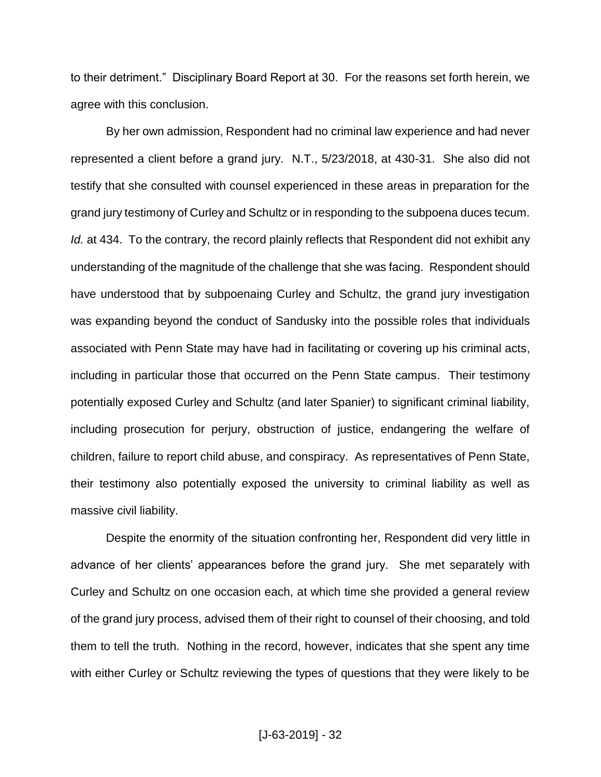to their detriment." Disciplinary Board Report at 30. For the reasons set forth herein, we agree with this conclusion.

By her own admission, Respondent had no criminal law experience and had never represented a client before a grand jury. N.T., 5/23/2018, at 430-31. She also did not testify that she consulted with counsel experienced in these areas in preparation for the grand jury testimony of Curley and Schultz or in responding to the subpoena duces tecum. *Id.* at 434. To the contrary, the record plainly reflects that Respondent did not exhibit any understanding of the magnitude of the challenge that she was facing. Respondent should have understood that by subpoenaing Curley and Schultz, the grand jury investigation was expanding beyond the conduct of Sandusky into the possible roles that individuals associated with Penn State may have had in facilitating or covering up his criminal acts, including in particular those that occurred on the Penn State campus. Their testimony potentially exposed Curley and Schultz (and later Spanier) to significant criminal liability, including prosecution for perjury, obstruction of justice, endangering the welfare of children, failure to report child abuse, and conspiracy. As representatives of Penn State, their testimony also potentially exposed the university to criminal liability as well as massive civil liability.

Despite the enormity of the situation confronting her, Respondent did very little in advance of her clients' appearances before the grand jury. She met separately with Curley and Schultz on one occasion each, at which time she provided a general review of the grand jury process, advised them of their right to counsel of their choosing, and told them to tell the truth. Nothing in the record, however, indicates that she spent any time with either Curley or Schultz reviewing the types of questions that they were likely to be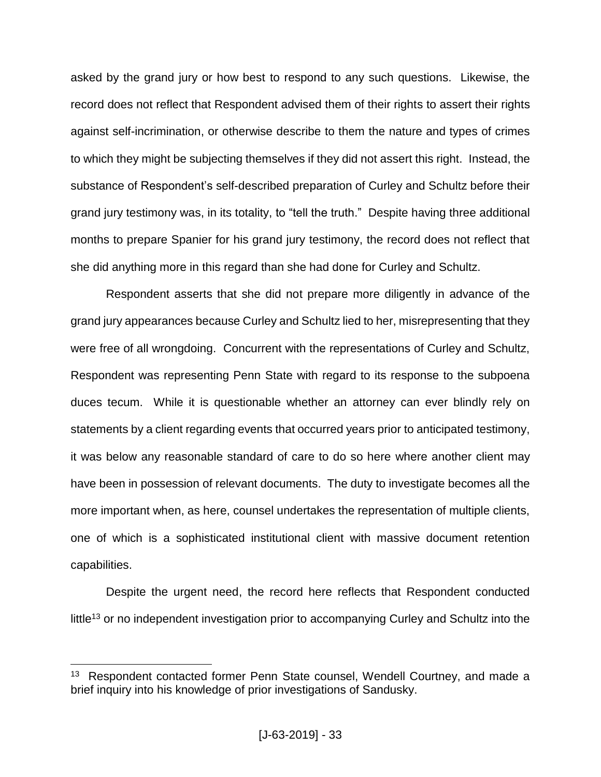asked by the grand jury or how best to respond to any such questions. Likewise, the record does not reflect that Respondent advised them of their rights to assert their rights against self-incrimination, or otherwise describe to them the nature and types of crimes to which they might be subjecting themselves if they did not assert this right. Instead, the substance of Respondent's self-described preparation of Curley and Schultz before their grand jury testimony was, in its totality, to "tell the truth." Despite having three additional months to prepare Spanier for his grand jury testimony, the record does not reflect that she did anything more in this regard than she had done for Curley and Schultz.

Respondent asserts that she did not prepare more diligently in advance of the grand jury appearances because Curley and Schultz lied to her, misrepresenting that they were free of all wrongdoing. Concurrent with the representations of Curley and Schultz, Respondent was representing Penn State with regard to its response to the subpoena duces tecum. While it is questionable whether an attorney can ever blindly rely on statements by a client regarding events that occurred years prior to anticipated testimony, it was below any reasonable standard of care to do so here where another client may have been in possession of relevant documents. The duty to investigate becomes all the more important when, as here, counsel undertakes the representation of multiple clients, one of which is a sophisticated institutional client with massive document retention capabilities.

Despite the urgent need, the record here reflects that Respondent conducted little<sup>13</sup> or no independent investigation prior to accompanying Curley and Schultz into the

<sup>&</sup>lt;sup>13</sup> Respondent contacted former Penn State counsel, Wendell Courtney, and made a brief inquiry into his knowledge of prior investigations of Sandusky.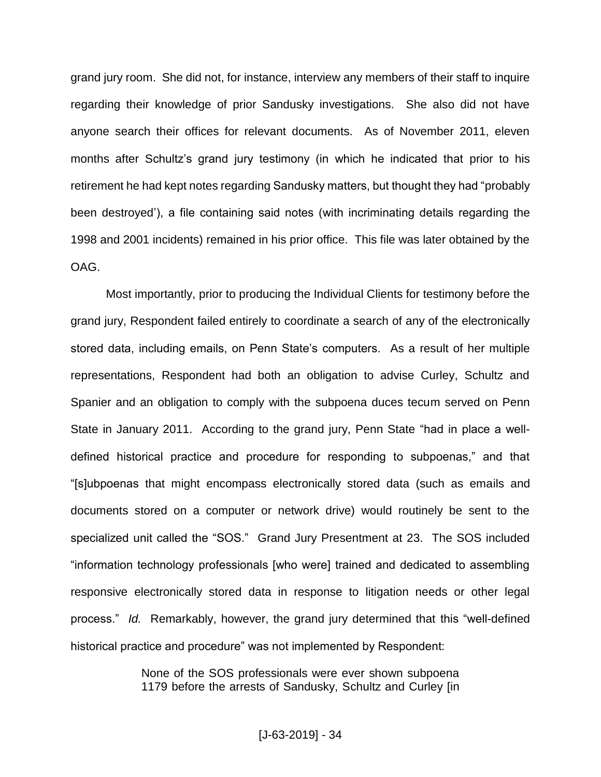grand jury room. She did not, for instance, interview any members of their staff to inquire regarding their knowledge of prior Sandusky investigations. She also did not have anyone search their offices for relevant documents. As of November 2011, eleven months after Schultz's grand jury testimony (in which he indicated that prior to his retirement he had kept notes regarding Sandusky matters, but thought they had "probably been destroyed'), a file containing said notes (with incriminating details regarding the 1998 and 2001 incidents) remained in his prior office. This file was later obtained by the OAG.

Most importantly, prior to producing the Individual Clients for testimony before the grand jury, Respondent failed entirely to coordinate a search of any of the electronically stored data, including emails, on Penn State's computers. As a result of her multiple representations, Respondent had both an obligation to advise Curley, Schultz and Spanier and an obligation to comply with the subpoena duces tecum served on Penn State in January 2011. According to the grand jury, Penn State "had in place a welldefined historical practice and procedure for responding to subpoenas," and that "[s]ubpoenas that might encompass electronically stored data (such as emails and documents stored on a computer or network drive) would routinely be sent to the specialized unit called the "SOS." Grand Jury Presentment at 23. The SOS included "information technology professionals [who were] trained and dedicated to assembling responsive electronically stored data in response to litigation needs or other legal process." *Id.* Remarkably, however, the grand jury determined that this "well-defined historical practice and procedure" was not implemented by Respondent:

> None of the SOS professionals were ever shown subpoena 1179 before the arrests of Sandusky, Schultz and Curley [in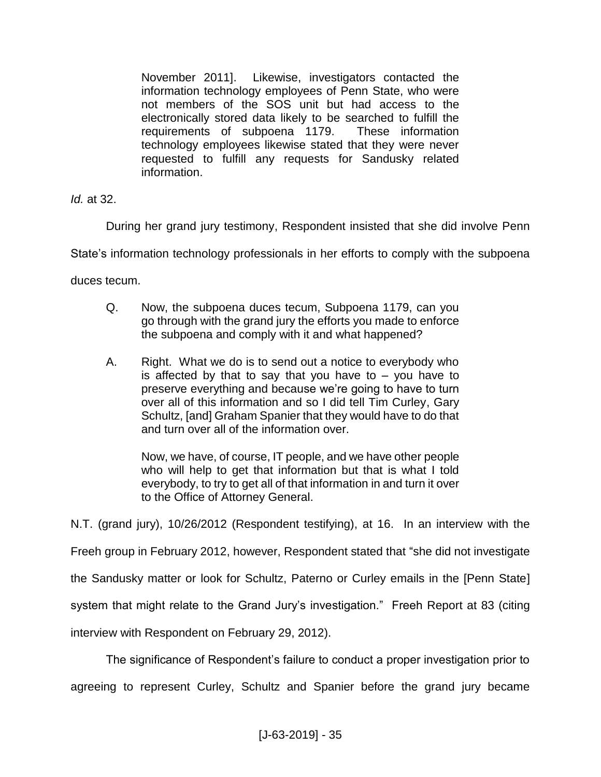November 2011]. Likewise, investigators contacted the information technology employees of Penn State, who were not members of the SOS unit but had access to the electronically stored data likely to be searched to fulfill the requirements of subpoena 1179. These information technology employees likewise stated that they were never requested to fulfill any requests for Sandusky related information.

*Id.* at 32.

During her grand jury testimony, Respondent insisted that she did involve Penn

State's information technology professionals in her efforts to comply with the subpoena

duces tecum.

- Q. Now, the subpoena duces tecum, Subpoena 1179, can you go through with the grand jury the efforts you made to enforce the subpoena and comply with it and what happened?
- A. Right. What we do is to send out a notice to everybody who is affected by that to say that you have to  $-$  you have to preserve everything and because we're going to have to turn over all of this information and so I did tell Tim Curley, Gary Schultz, [and] Graham Spanier that they would have to do that and turn over all of the information over.

Now, we have, of course, IT people, and we have other people who will help to get that information but that is what I told everybody, to try to get all of that information in and turn it over to the Office of Attorney General.

N.T. (grand jury), 10/26/2012 (Respondent testifying), at 16. In an interview with the

Freeh group in February 2012, however, Respondent stated that "she did not investigate

the Sandusky matter or look for Schultz, Paterno or Curley emails in the [Penn State]

system that might relate to the Grand Jury's investigation." Freeh Report at 83 (citing

interview with Respondent on February 29, 2012).

The significance of Respondent's failure to conduct a proper investigation prior to

agreeing to represent Curley, Schultz and Spanier before the grand jury became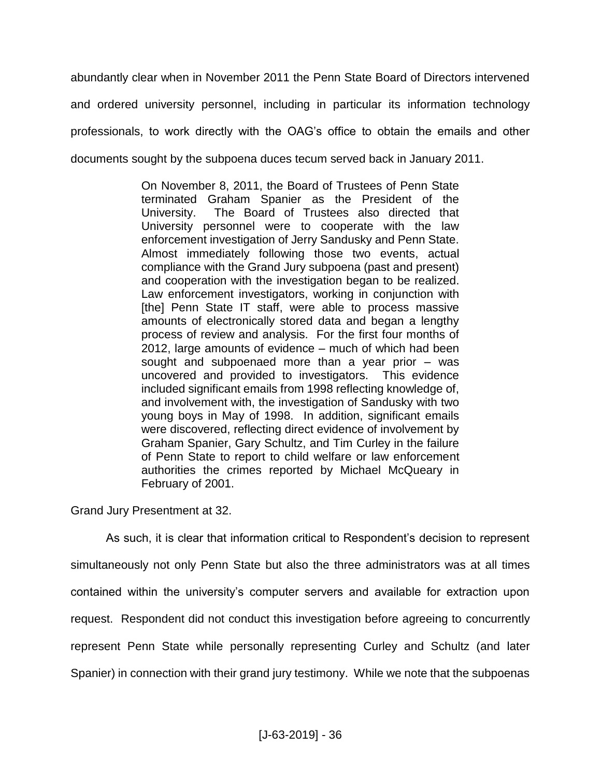abundantly clear when in November 2011 the Penn State Board of Directors intervened and ordered university personnel, including in particular its information technology professionals, to work directly with the OAG's office to obtain the emails and other documents sought by the subpoena duces tecum served back in January 2011.

> On November 8, 2011, the Board of Trustees of Penn State terminated Graham Spanier as the President of the University. The Board of Trustees also directed that University personnel were to cooperate with the law enforcement investigation of Jerry Sandusky and Penn State. Almost immediately following those two events, actual compliance with the Grand Jury subpoena (past and present) and cooperation with the investigation began to be realized. Law enforcement investigators, working in conjunction with [the] Penn State IT staff, were able to process massive amounts of electronically stored data and began a lengthy process of review and analysis. For the first four months of 2012, large amounts of evidence – much of which had been sought and subpoenaed more than a year prior – was uncovered and provided to investigators. This evidence included significant emails from 1998 reflecting knowledge of, and involvement with, the investigation of Sandusky with two young boys in May of 1998. In addition, significant emails were discovered, reflecting direct evidence of involvement by Graham Spanier, Gary Schultz, and Tim Curley in the failure of Penn State to report to child welfare or law enforcement authorities the crimes reported by Michael McQueary in February of 2001.

Grand Jury Presentment at 32.

As such, it is clear that information critical to Respondent's decision to represent simultaneously not only Penn State but also the three administrators was at all times contained within the university's computer servers and available for extraction upon request. Respondent did not conduct this investigation before agreeing to concurrently represent Penn State while personally representing Curley and Schultz (and later Spanier) in connection with their grand jury testimony. While we note that the subpoenas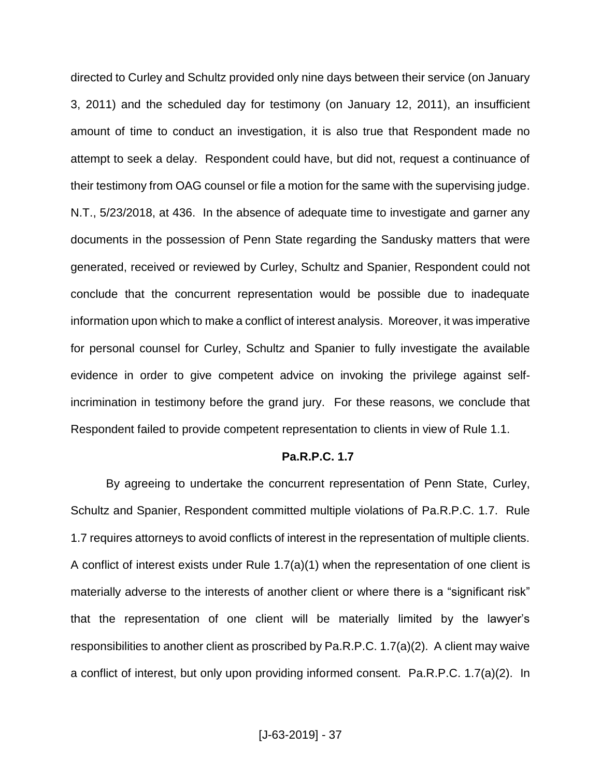directed to Curley and Schultz provided only nine days between their service (on January 3, 2011) and the scheduled day for testimony (on January 12, 2011), an insufficient amount of time to conduct an investigation, it is also true that Respondent made no attempt to seek a delay. Respondent could have, but did not, request a continuance of their testimony from OAG counsel or file a motion for the same with the supervising judge. N.T., 5/23/2018, at 436. In the absence of adequate time to investigate and garner any documents in the possession of Penn State regarding the Sandusky matters that were generated, received or reviewed by Curley, Schultz and Spanier, Respondent could not conclude that the concurrent representation would be possible due to inadequate information upon which to make a conflict of interest analysis. Moreover, it was imperative for personal counsel for Curley, Schultz and Spanier to fully investigate the available evidence in order to give competent advice on invoking the privilege against selfincrimination in testimony before the grand jury. For these reasons, we conclude that Respondent failed to provide competent representation to clients in view of Rule 1.1.

### **Pa.R.P.C. 1.7**

By agreeing to undertake the concurrent representation of Penn State, Curley, Schultz and Spanier, Respondent committed multiple violations of Pa.R.P.C. 1.7. Rule 1.7 requires attorneys to avoid conflicts of interest in the representation of multiple clients. A conflict of interest exists under Rule 1.7(a)(1) when the representation of one client is materially adverse to the interests of another client or where there is a "significant risk" that the representation of one client will be materially limited by the lawyer's responsibilities to another client as proscribed by Pa.R.P.C. 1.7(a)(2). A client may waive a conflict of interest, but only upon providing informed consent. Pa.R.P.C. 1.7(a)(2). In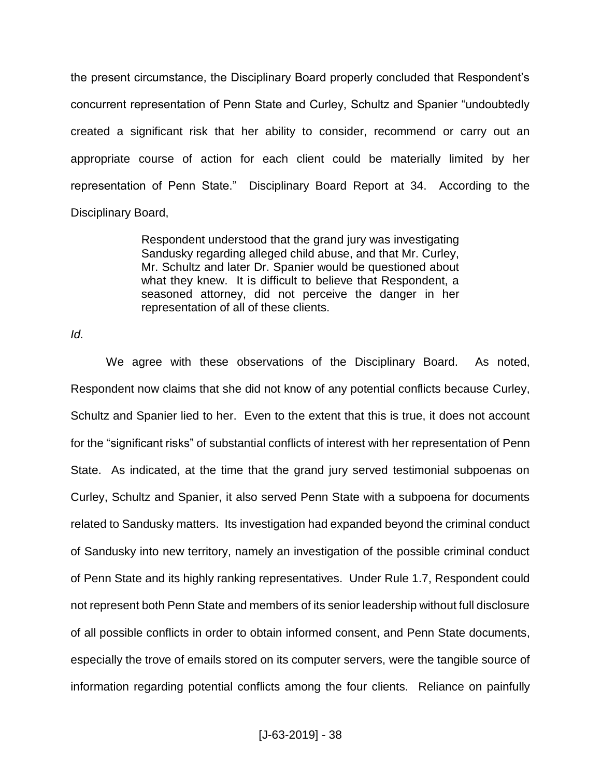the present circumstance, the Disciplinary Board properly concluded that Respondent's concurrent representation of Penn State and Curley, Schultz and Spanier "undoubtedly created a significant risk that her ability to consider, recommend or carry out an appropriate course of action for each client could be materially limited by her representation of Penn State." Disciplinary Board Report at 34. According to the Disciplinary Board,

> Respondent understood that the grand jury was investigating Sandusky regarding alleged child abuse, and that Mr. Curley, Mr. Schultz and later Dr. Spanier would be questioned about what they knew. It is difficult to believe that Respondent, a seasoned attorney, did not perceive the danger in her representation of all of these clients.

*Id.*

We agree with these observations of the Disciplinary Board. As noted, Respondent now claims that she did not know of any potential conflicts because Curley, Schultz and Spanier lied to her. Even to the extent that this is true, it does not account for the "significant risks" of substantial conflicts of interest with her representation of Penn State. As indicated, at the time that the grand jury served testimonial subpoenas on Curley, Schultz and Spanier, it also served Penn State with a subpoena for documents related to Sandusky matters. Its investigation had expanded beyond the criminal conduct of Sandusky into new territory, namely an investigation of the possible criminal conduct of Penn State and its highly ranking representatives. Under Rule 1.7, Respondent could not represent both Penn State and members of its senior leadership without full disclosure of all possible conflicts in order to obtain informed consent, and Penn State documents, especially the trove of emails stored on its computer servers, were the tangible source of information regarding potential conflicts among the four clients. Reliance on painfully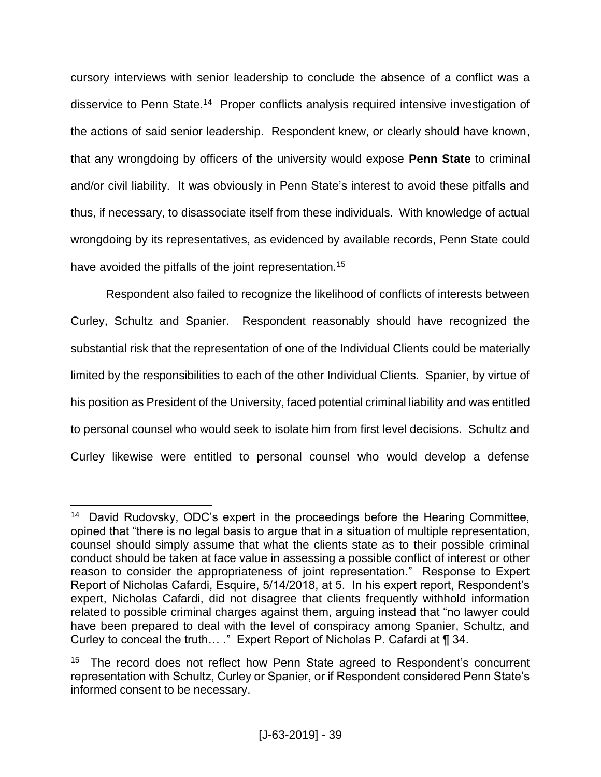cursory interviews with senior leadership to conclude the absence of a conflict was a disservice to Penn State.<sup>14</sup> Proper conflicts analysis required intensive investigation of the actions of said senior leadership. Respondent knew, or clearly should have known, that any wrongdoing by officers of the university would expose **Penn State** to criminal and/or civil liability. It was obviously in Penn State's interest to avoid these pitfalls and thus, if necessary, to disassociate itself from these individuals. With knowledge of actual wrongdoing by its representatives, as evidenced by available records, Penn State could have avoided the pitfalls of the joint representation.<sup>15</sup>

Respondent also failed to recognize the likelihood of conflicts of interests between Curley, Schultz and Spanier. Respondent reasonably should have recognized the substantial risk that the representation of one of the Individual Clients could be materially limited by the responsibilities to each of the other Individual Clients. Spanier, by virtue of his position as President of the University, faced potential criminal liability and was entitled to personal counsel who would seek to isolate him from first level decisions. Schultz and Curley likewise were entitled to personal counsel who would develop a defense

<sup>&</sup>lt;sup>14</sup> David Rudovsky, ODC's expert in the proceedings before the Hearing Committee, opined that "there is no legal basis to argue that in a situation of multiple representation, counsel should simply assume that what the clients state as to their possible criminal conduct should be taken at face value in assessing a possible conflict of interest or other reason to consider the appropriateness of joint representation." Response to Expert Report of Nicholas Cafardi, Esquire, 5/14/2018, at 5. In his expert report, Respondent's expert, Nicholas Cafardi, did not disagree that clients frequently withhold information related to possible criminal charges against them, arguing instead that "no lawyer could have been prepared to deal with the level of conspiracy among Spanier, Schultz, and Curley to conceal the truth… ." Expert Report of Nicholas P. Cafardi at ¶ 34.

<sup>&</sup>lt;sup>15</sup> The record does not reflect how Penn State agreed to Respondent's concurrent representation with Schultz, Curley or Spanier, or if Respondent considered Penn State's informed consent to be necessary.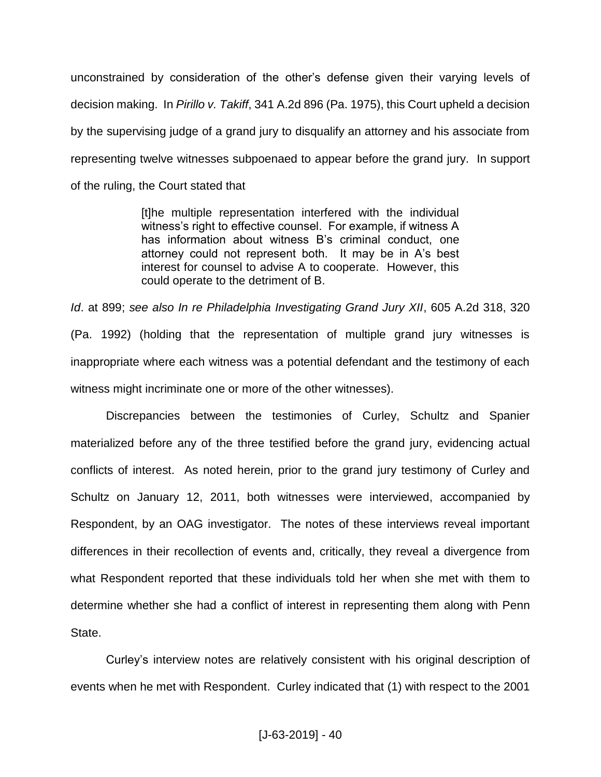unconstrained by consideration of the other's defense given their varying levels of decision making. In *Pirillo v. Takiff*, 341 A.2d 896 (Pa. 1975), this Court upheld a decision by the supervising judge of a grand jury to disqualify an attorney and his associate from representing twelve witnesses subpoenaed to appear before the grand jury. In support of the ruling, the Court stated that

> [t]he multiple representation interfered with the individual witness's right to effective counsel. For example, if witness A has information about witness B's criminal conduct, one attorney could not represent both. It may be in A's best interest for counsel to advise A to cooperate. However, this could operate to the detriment of B.

*Id*. at 899; *see also In re Philadelphia Investigating Grand Jury XII*, 605 A.2d 318, 320 (Pa. 1992) (holding that the representation of multiple grand jury witnesses is inappropriate where each witness was a potential defendant and the testimony of each witness might incriminate one or more of the other witnesses).

Discrepancies between the testimonies of Curley, Schultz and Spanier materialized before any of the three testified before the grand jury, evidencing actual conflicts of interest. As noted herein, prior to the grand jury testimony of Curley and Schultz on January 12, 2011, both witnesses were interviewed, accompanied by Respondent, by an OAG investigator. The notes of these interviews reveal important differences in their recollection of events and, critically, they reveal a divergence from what Respondent reported that these individuals told her when she met with them to determine whether she had a conflict of interest in representing them along with Penn State.

Curley's interview notes are relatively consistent with his original description of events when he met with Respondent. Curley indicated that (1) with respect to the 2001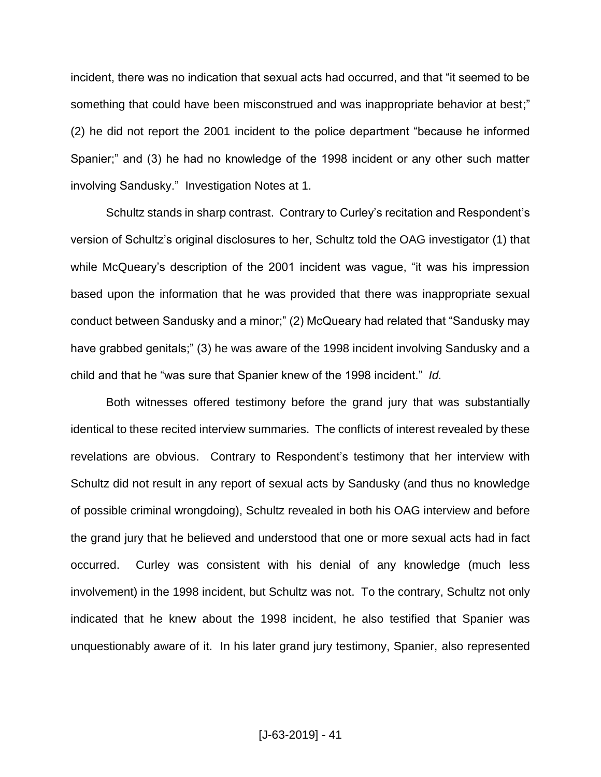incident, there was no indication that sexual acts had occurred, and that "it seemed to be something that could have been misconstrued and was inappropriate behavior at best;" (2) he did not report the 2001 incident to the police department "because he informed Spanier;" and (3) he had no knowledge of the 1998 incident or any other such matter involving Sandusky." Investigation Notes at 1.

Schultz stands in sharp contrast. Contrary to Curley's recitation and Respondent's version of Schultz's original disclosures to her, Schultz told the OAG investigator (1) that while McQueary's description of the 2001 incident was vague, "it was his impression based upon the information that he was provided that there was inappropriate sexual conduct between Sandusky and a minor;" (2) McQueary had related that "Sandusky may have grabbed genitals;" (3) he was aware of the 1998 incident involving Sandusky and a child and that he "was sure that Spanier knew of the 1998 incident." *Id.*

Both witnesses offered testimony before the grand jury that was substantially identical to these recited interview summaries. The conflicts of interest revealed by these revelations are obvious. Contrary to Respondent's testimony that her interview with Schultz did not result in any report of sexual acts by Sandusky (and thus no knowledge of possible criminal wrongdoing), Schultz revealed in both his OAG interview and before the grand jury that he believed and understood that one or more sexual acts had in fact occurred. Curley was consistent with his denial of any knowledge (much less involvement) in the 1998 incident, but Schultz was not. To the contrary, Schultz not only indicated that he knew about the 1998 incident, he also testified that Spanier was unquestionably aware of it. In his later grand jury testimony, Spanier, also represented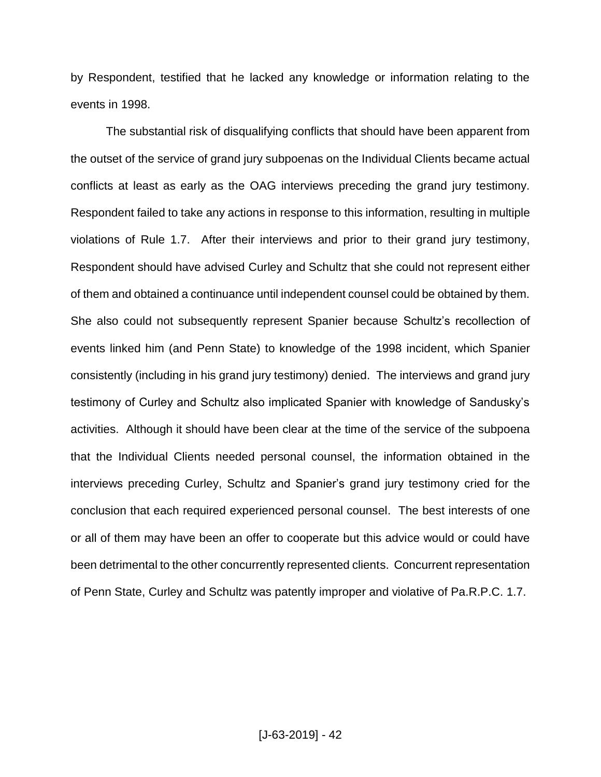by Respondent, testified that he lacked any knowledge or information relating to the events in 1998.

The substantial risk of disqualifying conflicts that should have been apparent from the outset of the service of grand jury subpoenas on the Individual Clients became actual conflicts at least as early as the OAG interviews preceding the grand jury testimony. Respondent failed to take any actions in response to this information, resulting in multiple violations of Rule 1.7. After their interviews and prior to their grand jury testimony, Respondent should have advised Curley and Schultz that she could not represent either of them and obtained a continuance until independent counsel could be obtained by them. She also could not subsequently represent Spanier because Schultz's recollection of events linked him (and Penn State) to knowledge of the 1998 incident, which Spanier consistently (including in his grand jury testimony) denied. The interviews and grand jury testimony of Curley and Schultz also implicated Spanier with knowledge of Sandusky's activities. Although it should have been clear at the time of the service of the subpoena that the Individual Clients needed personal counsel, the information obtained in the interviews preceding Curley, Schultz and Spanier's grand jury testimony cried for the conclusion that each required experienced personal counsel. The best interests of one or all of them may have been an offer to cooperate but this advice would or could have been detrimental to the other concurrently represented clients. Concurrent representation of Penn State, Curley and Schultz was patently improper and violative of Pa.R.P.C. 1.7.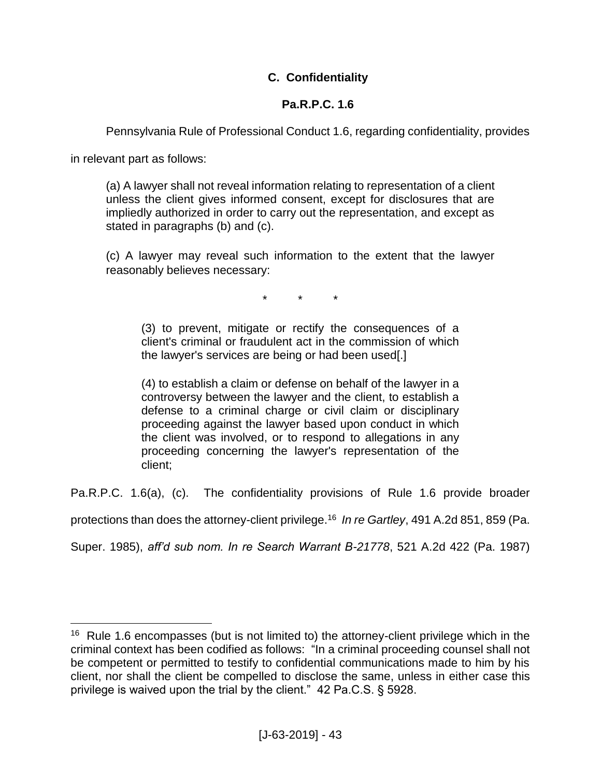# **C. Confidentiality**

# **Pa.R.P.C. 1.6**

Pennsylvania Rule of Professional Conduct 1.6, regarding confidentiality, provides

in relevant part as follows:

 $\overline{a}$ 

(a) A lawyer shall not reveal information relating to representation of a client unless the client gives informed consent, except for disclosures that are impliedly authorized in order to carry out the representation, and except as stated in paragraphs (b) and (c).

(c) A lawyer may reveal such information to the extent that the lawyer reasonably believes necessary:

 $\star$   $\star$ 

(3) to prevent, mitigate or rectify the consequences of a client's criminal or fraudulent act in the commission of which the lawyer's services are being or had been used[.]

(4) to establish a claim or defense on behalf of the lawyer in a controversy between the lawyer and the client, to establish a defense to a criminal charge or civil claim or disciplinary proceeding against the lawyer based upon conduct in which the client was involved, or to respond to allegations in any proceeding concerning the lawyer's representation of the client;

Pa.R.P.C. 1.6(a), (c). The confidentiality provisions of Rule 1.6 provide broader

protections than does the attorney-client privilege.<sup>16</sup> *In re Gartley*, 491 A.2d 851, 859 (Pa.

Super. 1985), *aff'd sub nom. In re Search Warrant B-21778*, 521 A.2d 422 (Pa. 1987)

<sup>&</sup>lt;sup>16</sup> Rule 1.6 encompasses (but is not limited to) the attorney-client privilege which in the criminal context has been codified as follows: "In a criminal proceeding counsel shall not be competent or permitted to testify to confidential communications made to him by his client, nor shall the client be compelled to disclose the same, unless in either case this privilege is waived upon the trial by the client." 42 Pa.C.S. § 5928.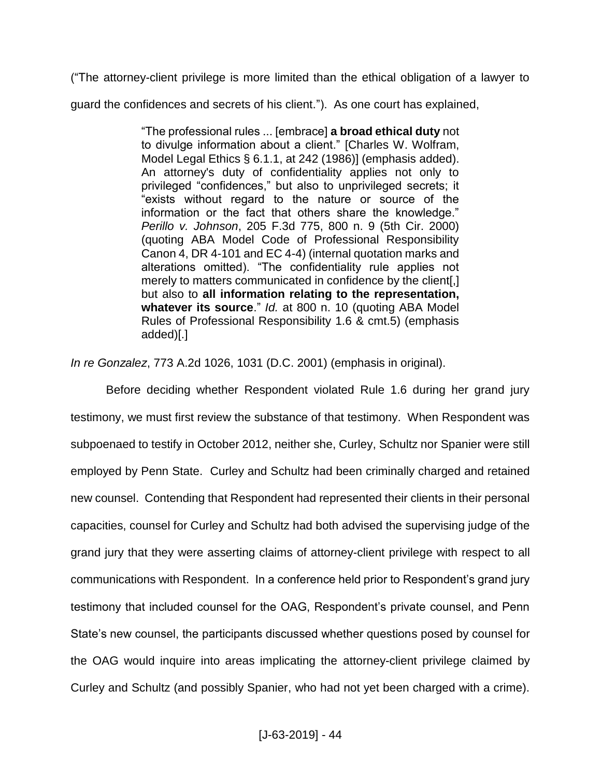("The attorney-client privilege is more limited than the ethical obligation of a lawyer to

guard the confidences and secrets of his client."). As one court has explained,

"The professional rules ... [embrace] **a broad ethical duty** not to divulge information about a client." [Charles W. Wolfram, Model Legal Ethics § 6.1.1, at 242 (1986)] (emphasis added). An attorney's duty of confidentiality applies not only to privileged "confidences," but also to unprivileged secrets; it "exists without regard to the nature or source of the information or the fact that others share the knowledge." *Perillo v. Johnson*, 205 F.3d 775, 800 n. 9 (5th Cir. 2000) (quoting ABA Model Code of Professional Responsibility Canon 4, DR 4-101 and EC 4-4) (internal quotation marks and alterations omitted). "The confidentiality rule applies not merely to matters communicated in confidence by the client[,] but also to **all information relating to the representation, whatever its source**." *Id.* at 800 n. 10 (quoting ABA Model Rules of Professional Responsibility 1.6 & cmt.5) (emphasis added)[.]

*In re Gonzalez*, 773 A.2d 1026, 1031 (D.C. 2001) (emphasis in original).

Before deciding whether Respondent violated Rule 1.6 during her grand jury testimony, we must first review the substance of that testimony. When Respondent was subpoenaed to testify in October 2012, neither she, Curley, Schultz nor Spanier were still employed by Penn State. Curley and Schultz had been criminally charged and retained new counsel. Contending that Respondent had represented their clients in their personal capacities, counsel for Curley and Schultz had both advised the supervising judge of the grand jury that they were asserting claims of attorney-client privilege with respect to all communications with Respondent. In a conference held prior to Respondent's grand jury testimony that included counsel for the OAG, Respondent's private counsel, and Penn State's new counsel, the participants discussed whether questions posed by counsel for the OAG would inquire into areas implicating the attorney-client privilege claimed by Curley and Schultz (and possibly Spanier, who had not yet been charged with a crime).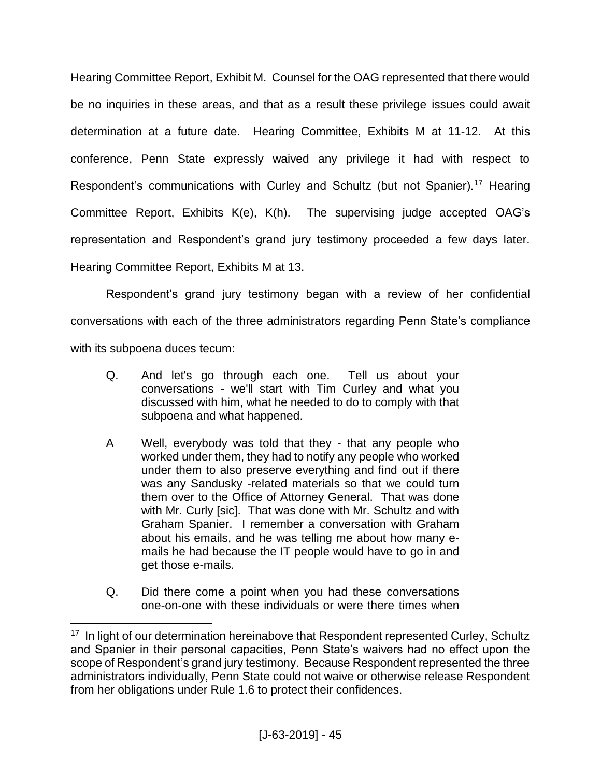Hearing Committee Report, Exhibit M. Counsel for the OAG represented that there would be no inquiries in these areas, and that as a result these privilege issues could await determination at a future date. Hearing Committee, Exhibits M at 11-12. At this conference, Penn State expressly waived any privilege it had with respect to Respondent's communications with Curley and Schultz (but not Spanier).<sup>17</sup> Hearing Committee Report, Exhibits K(e), K(h). The supervising judge accepted OAG's representation and Respondent's grand jury testimony proceeded a few days later. Hearing Committee Report, Exhibits M at 13.

Respondent's grand jury testimony began with a review of her confidential conversations with each of the three administrators regarding Penn State's compliance with its subpoena duces tecum:

- Q. And let's go through each one. Tell us about your conversations - we'll start with Tim Curley and what you discussed with him, what he needed to do to comply with that subpoena and what happened.
- A Well, everybody was told that they that any people who worked under them, they had to notify any people who worked under them to also preserve everything and find out if there was any Sandusky -related materials so that we could turn them over to the Office of Attorney General. That was done with Mr. Curly [sic]. That was done with Mr. Schultz and with Graham Spanier. I remember a conversation with Graham about his emails, and he was telling me about how many emails he had because the IT people would have to go in and get those e-mails.
- Q. Did there come a point when you had these conversations one-on-one with these individuals or were there times when

<sup>&</sup>lt;sup>17</sup> In light of our determination hereinabove that Respondent represented Curley, Schultz and Spanier in their personal capacities, Penn State's waivers had no effect upon the scope of Respondent's grand jury testimony. Because Respondent represented the three administrators individually, Penn State could not waive or otherwise release Respondent from her obligations under Rule 1.6 to protect their confidences.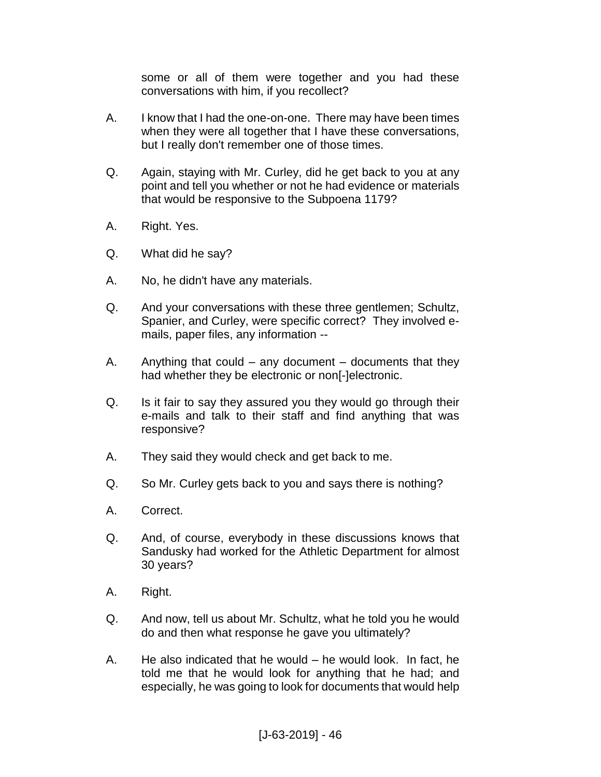some or all of them were together and you had these conversations with him, if you recollect?

- A. I know that I had the one-on-one. There may have been times when they were all together that I have these conversations, but I really don't remember one of those times.
- Q. Again, staying with Mr. Curley, did he get back to you at any point and tell you whether or not he had evidence or materials that would be responsive to the Subpoena 1179?
- A. Right. Yes.
- Q. What did he say?
- A. No, he didn't have any materials.
- Q. And your conversations with these three gentlemen; Schultz, Spanier, and Curley, were specific correct? They involved emails, paper files, any information --
- A. Anything that could any document documents that they had whether they be electronic or non[-]electronic.
- Q. Is it fair to say they assured you they would go through their e-mails and talk to their staff and find anything that was responsive?
- A. They said they would check and get back to me.
- Q. So Mr. Curley gets back to you and says there is nothing?
- A. Correct.
- Q. And, of course, everybody in these discussions knows that Sandusky had worked for the Athletic Department for almost 30 years?
- A. Right.
- Q. And now, tell us about Mr. Schultz, what he told you he would do and then what response he gave you ultimately?
- A. He also indicated that he would he would look. In fact, he told me that he would look for anything that he had; and especially, he was going to look for documents that would help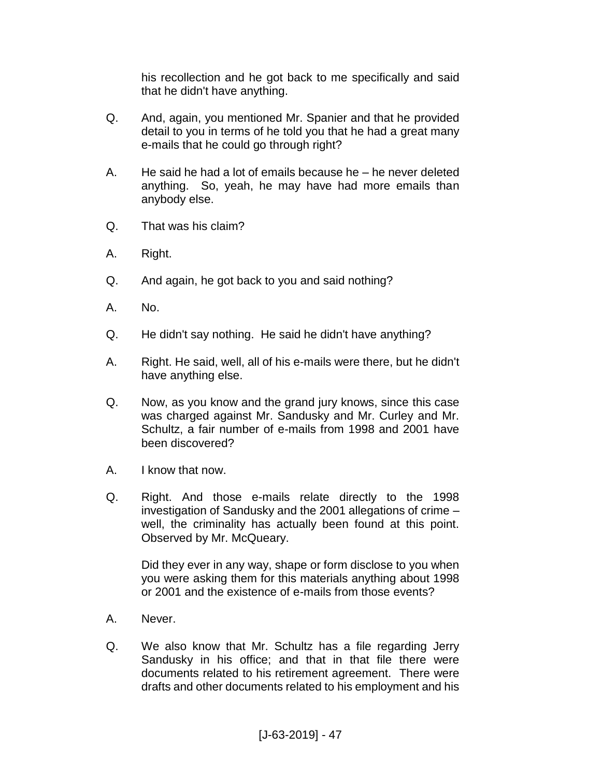his recollection and he got back to me specifically and said that he didn't have anything.

- Q. And, again, you mentioned Mr. Spanier and that he provided detail to you in terms of he told you that he had a great many e-mails that he could go through right?
- A. He said he had a lot of emails because he he never deleted anything. So, yeah, he may have had more emails than anybody else.
- Q. That was his claim?
- A. Right.
- Q. And again, he got back to you and said nothing?
- A. No.
- Q. He didn't say nothing. He said he didn't have anything?
- A. Right. He said, well, all of his e-mails were there, but he didn't have anything else.
- Q. Now, as you know and the grand jury knows, since this case was charged against Mr. Sandusky and Mr. Curley and Mr. Schultz, a fair number of e-mails from 1998 and 2001 have been discovered?
- A. I know that now.
- Q. Right. And those e-mails relate directly to the 1998 investigation of Sandusky and the 2001 allegations of crime – well, the criminality has actually been found at this point. Observed by Mr. McQueary.

Did they ever in any way, shape or form disclose to you when you were asking them for this materials anything about 1998 or 2001 and the existence of e-mails from those events?

- A. Never.
- Q. We also know that Mr. Schultz has a file regarding Jerry Sandusky in his office; and that in that file there were documents related to his retirement agreement. There were drafts and other documents related to his employment and his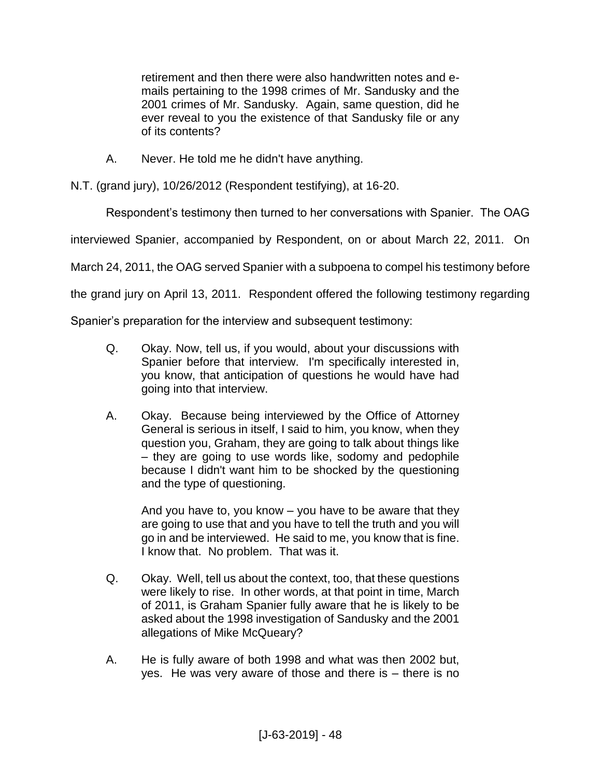retirement and then there were also handwritten notes and emails pertaining to the 1998 crimes of Mr. Sandusky and the 2001 crimes of Mr. Sandusky. Again, same question, did he ever reveal to you the existence of that Sandusky file or any of its contents?

A. Never. He told me he didn't have anything.

N.T. (grand jury), 10/26/2012 (Respondent testifying), at 16-20.

Respondent's testimony then turned to her conversations with Spanier. The OAG

interviewed Spanier, accompanied by Respondent, on or about March 22, 2011. On

March 24, 2011, the OAG served Spanier with a subpoena to compel his testimony before

the grand jury on April 13, 2011. Respondent offered the following testimony regarding

Spanier's preparation for the interview and subsequent testimony:

- Q. Okay. Now, tell us, if you would, about your discussions with Spanier before that interview. I'm specifically interested in, you know, that anticipation of questions he would have had going into that interview.
- A. Okay. Because being interviewed by the Office of Attorney General is serious in itself, I said to him, you know, when they question you, Graham, they are going to talk about things like – they are going to use words like, sodomy and pedophile because I didn't want him to be shocked by the questioning and the type of questioning.

And you have to, you know – you have to be aware that they are going to use that and you have to tell the truth and you will go in and be interviewed. He said to me, you know that is fine. I know that. No problem. That was it.

- Q. Okay. Well, tell us about the context, too, that these questions were likely to rise. In other words, at that point in time, March of 2011, is Graham Spanier fully aware that he is likely to be asked about the 1998 investigation of Sandusky and the 2001 allegations of Mike McQueary?
- A. He is fully aware of both 1998 and what was then 2002 but, yes. He was very aware of those and there is – there is no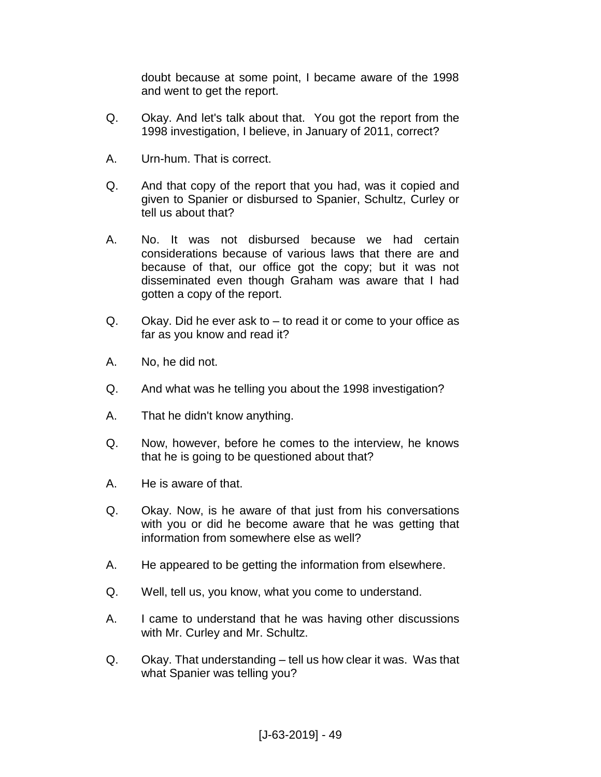doubt because at some point, I became aware of the 1998 and went to get the report.

- Q. Okay. And let's talk about that. You got the report from the 1998 investigation, I believe, in January of 2011, correct?
- A. Urn-hum. That is correct.
- Q. And that copy of the report that you had, was it copied and given to Spanier or disbursed to Spanier, Schultz, Curley or tell us about that?
- A. No. It was not disbursed because we had certain considerations because of various laws that there are and because of that, our office got the copy; but it was not disseminated even though Graham was aware that I had gotten a copy of the report.
- $Q.$  Okay. Did he ever ask to  $-$  to read it or come to your office as far as you know and read it?
- A. No, he did not.
- Q. And what was he telling you about the 1998 investigation?
- A. That he didn't know anything.
- Q. Now, however, before he comes to the interview, he knows that he is going to be questioned about that?
- A. He is aware of that.
- Q. Okay. Now, is he aware of that just from his conversations with you or did he become aware that he was getting that information from somewhere else as well?
- A. He appeared to be getting the information from elsewhere.
- Q. Well, tell us, you know, what you come to understand.
- A. I came to understand that he was having other discussions with Mr. Curley and Mr. Schultz.
- Q. Okay. That understanding tell us how clear it was. Was that what Spanier was telling you?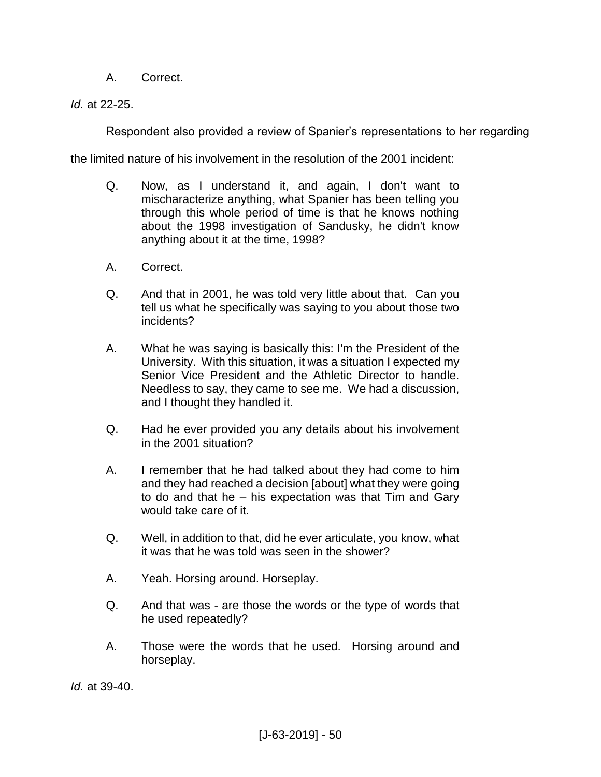## A. Correct.

## *Id.* at 22-25.

Respondent also provided a review of Spanier's representations to her regarding

the limited nature of his involvement in the resolution of the 2001 incident:

- Q. Now, as I understand it, and again, I don't want to mischaracterize anything, what Spanier has been telling you through this whole period of time is that he knows nothing about the 1998 investigation of Sandusky, he didn't know anything about it at the time, 1998?
- A. Correct.
- Q. And that in 2001, he was told very little about that. Can you tell us what he specifically was saying to you about those two incidents?
- A. What he was saying is basically this: I'm the President of the University. With this situation, it was a situation I expected my Senior Vice President and the Athletic Director to handle. Needless to say, they came to see me. We had a discussion, and I thought they handled it.
- Q. Had he ever provided you any details about his involvement in the 2001 situation?
- A. I remember that he had talked about they had come to him and they had reached a decision [about] what they were going to do and that he – his expectation was that Tim and Gary would take care of it.
- Q. Well, in addition to that, did he ever articulate, you know, what it was that he was told was seen in the shower?
- A. Yeah. Horsing around. Horseplay.
- Q. And that was are those the words or the type of words that he used repeatedly?
- A. Those were the words that he used. Horsing around and horseplay.

*Id.* at 39-40.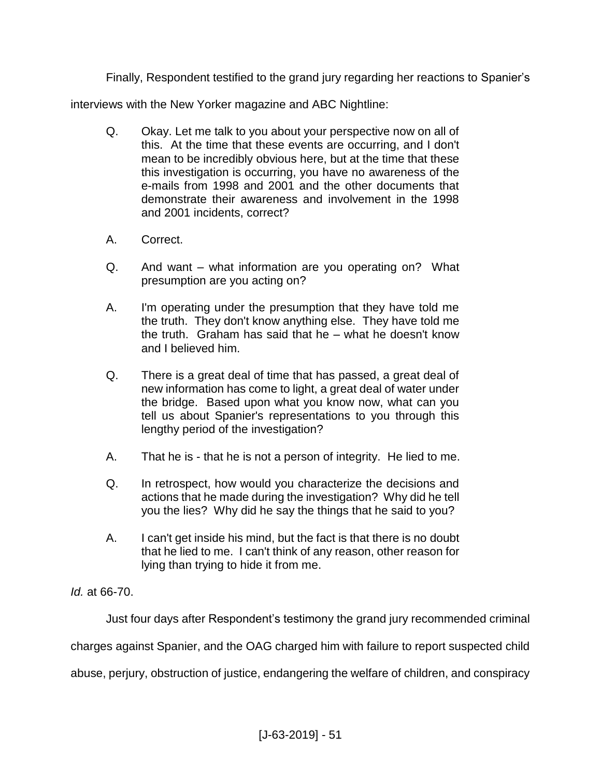Finally, Respondent testified to the grand jury regarding her reactions to Spanier's

interviews with the New Yorker magazine and ABC Nightline:

- Q. Okay. Let me talk to you about your perspective now on all of this. At the time that these events are occurring, and I don't mean to be incredibly obvious here, but at the time that these this investigation is occurring, you have no awareness of the e-mails from 1998 and 2001 and the other documents that demonstrate their awareness and involvement in the 1998 and 2001 incidents, correct?
- A. Correct.
- Q. And want what information are you operating on? What presumption are you acting on?
- A. I'm operating under the presumption that they have told me the truth. They don't know anything else. They have told me the truth. Graham has said that he – what he doesn't know and I believed him.
- Q. There is a great deal of time that has passed, a great deal of new information has come to light, a great deal of water under the bridge. Based upon what you know now, what can you tell us about Spanier's representations to you through this lengthy period of the investigation?
- A. That he is that he is not a person of integrity. He lied to me.
- Q. In retrospect, how would you characterize the decisions and actions that he made during the investigation? Why did he tell you the lies? Why did he say the things that he said to you?
- A. I can't get inside his mind, but the fact is that there is no doubt that he lied to me. I can't think of any reason, other reason for lying than trying to hide it from me.

*Id.* at 66-70.

Just four days after Respondent's testimony the grand jury recommended criminal charges against Spanier, and the OAG charged him with failure to report suspected child abuse, perjury, obstruction of justice, endangering the welfare of children, and conspiracy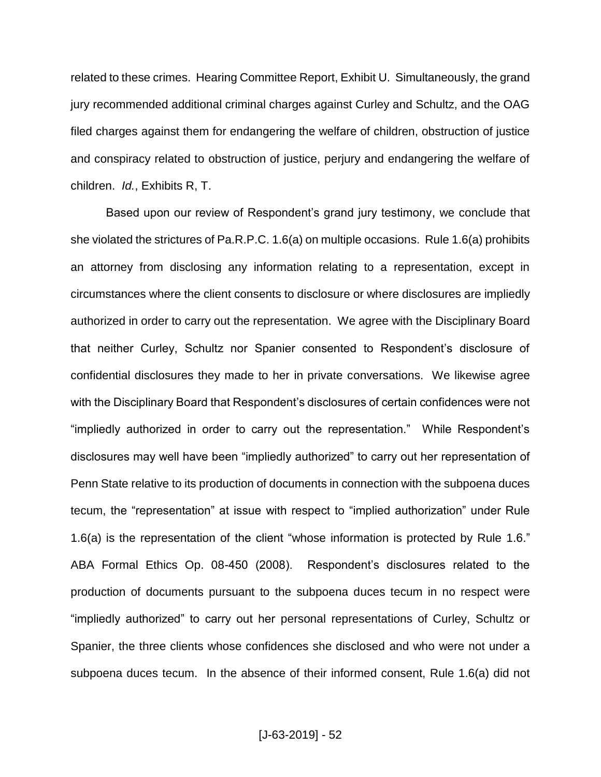related to these crimes. Hearing Committee Report, Exhibit U. Simultaneously, the grand jury recommended additional criminal charges against Curley and Schultz, and the OAG filed charges against them for endangering the welfare of children, obstruction of justice and conspiracy related to obstruction of justice, perjury and endangering the welfare of children. *Id.*, Exhibits R, T.

Based upon our review of Respondent's grand jury testimony, we conclude that she violated the strictures of Pa.R.P.C. 1.6(a) on multiple occasions. Rule 1.6(a) prohibits an attorney from disclosing any information relating to a representation, except in circumstances where the client consents to disclosure or where disclosures are impliedly authorized in order to carry out the representation. We agree with the Disciplinary Board that neither Curley, Schultz nor Spanier consented to Respondent's disclosure of confidential disclosures they made to her in private conversations. We likewise agree with the Disciplinary Board that Respondent's disclosures of certain confidences were not "impliedly authorized in order to carry out the representation." While Respondent's disclosures may well have been "impliedly authorized" to carry out her representation of Penn State relative to its production of documents in connection with the subpoena duces tecum, the "representation" at issue with respect to "implied authorization" under Rule 1.6(a) is the representation of the client "whose information is protected by Rule 1.6." ABA Formal Ethics Op. 08-450 (2008). Respondent's disclosures related to the production of documents pursuant to the subpoena duces tecum in no respect were "impliedly authorized" to carry out her personal representations of Curley, Schultz or Spanier, the three clients whose confidences she disclosed and who were not under a subpoena duces tecum. In the absence of their informed consent, Rule 1.6(a) did not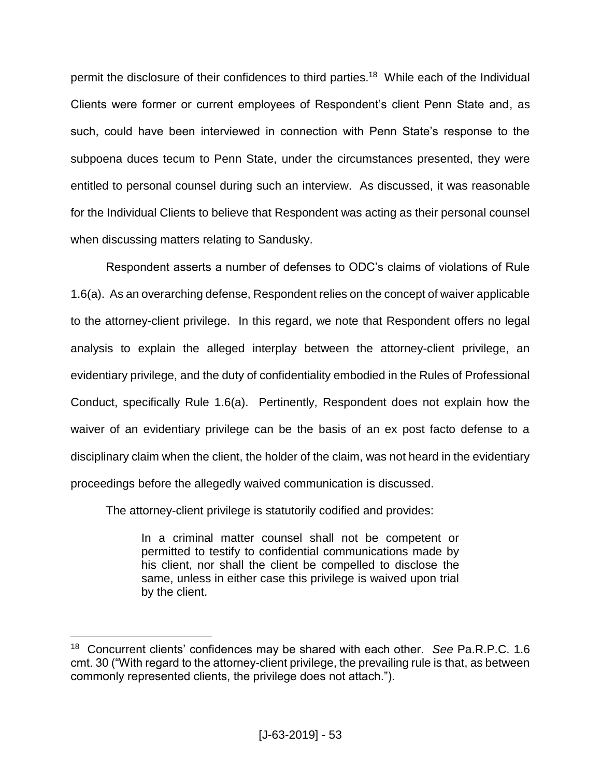permit the disclosure of their confidences to third parties.<sup>18</sup> While each of the Individual Clients were former or current employees of Respondent's client Penn State and, as such, could have been interviewed in connection with Penn State's response to the subpoena duces tecum to Penn State, under the circumstances presented, they were entitled to personal counsel during such an interview. As discussed, it was reasonable for the Individual Clients to believe that Respondent was acting as their personal counsel when discussing matters relating to Sandusky.

Respondent asserts a number of defenses to ODC's claims of violations of Rule 1.6(a). As an overarching defense, Respondent relies on the concept of waiver applicable to the attorney-client privilege. In this regard, we note that Respondent offers no legal analysis to explain the alleged interplay between the attorney-client privilege, an evidentiary privilege, and the duty of confidentiality embodied in the Rules of Professional Conduct, specifically Rule 1.6(a). Pertinently, Respondent does not explain how the waiver of an evidentiary privilege can be the basis of an ex post facto defense to a disciplinary claim when the client, the holder of the claim, was not heard in the evidentiary proceedings before the allegedly waived communication is discussed.

The attorney-client privilege is statutorily codified and provides:

 $\overline{a}$ 

In a criminal matter counsel shall not be competent or permitted to testify to confidential communications made by his client, nor shall the client be compelled to disclose the same, unless in either case this privilege is waived upon trial by the client.

<sup>18</sup> Concurrent clients' confidences may be shared with each other. *See* Pa.R.P.C. 1.6 cmt. 30 ("With regard to the attorney-client privilege, the prevailing rule is that, as between commonly represented clients, the privilege does not attach.").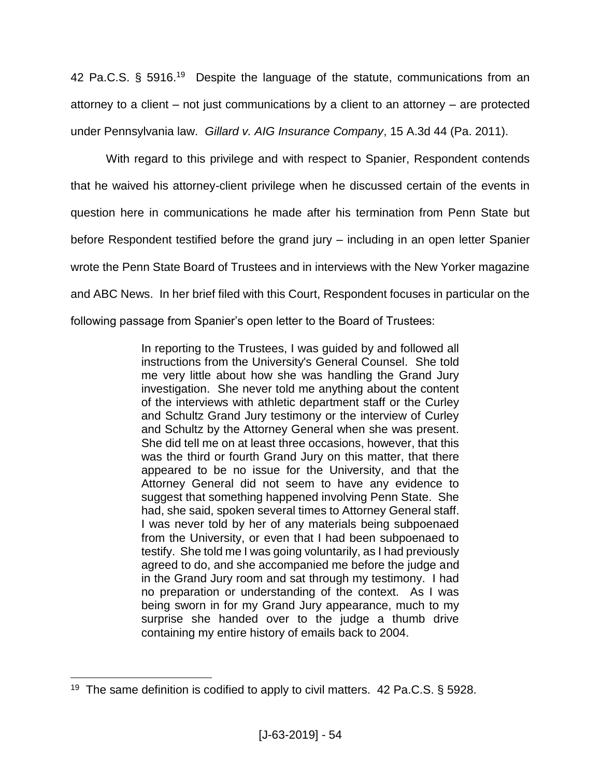42 Pa.C.S. § 5916.<sup>19</sup> Despite the language of the statute, communications from an attorney to a client – not just communications by a client to an attorney – are protected under Pennsylvania law. *Gillard v. AIG Insurance Company*, 15 A.3d 44 (Pa. 2011).

With regard to this privilege and with respect to Spanier, Respondent contends that he waived his attorney-client privilege when he discussed certain of the events in question here in communications he made after his termination from Penn State but before Respondent testified before the grand jury – including in an open letter Spanier wrote the Penn State Board of Trustees and in interviews with the New Yorker magazine and ABC News. In her brief filed with this Court, Respondent focuses in particular on the following passage from Spanier's open letter to the Board of Trustees:

> In reporting to the Trustees, I was guided by and followed all instructions from the University's General Counsel. She told me very little about how she was handling the Grand Jury investigation. She never told me anything about the content of the interviews with athletic department staff or the Curley and Schultz Grand Jury testimony or the interview of Curley and Schultz by the Attorney General when she was present. She did tell me on at least three occasions, however, that this was the third or fourth Grand Jury on this matter, that there appeared to be no issue for the University, and that the Attorney General did not seem to have any evidence to suggest that something happened involving Penn State. She had, she said, spoken several times to Attorney General staff. I was never told by her of any materials being subpoenaed from the University, or even that I had been subpoenaed to testify. She told me I was going voluntarily, as I had previously agreed to do, and she accompanied me before the judge and in the Grand Jury room and sat through my testimony. I had no preparation or understanding of the context. As I was being sworn in for my Grand Jury appearance, much to my surprise she handed over to the judge a thumb drive containing my entire history of emails back to 2004.

<sup>&</sup>lt;sup>19</sup> The same definition is codified to apply to civil matters.  $42$  Pa.C.S. § 5928.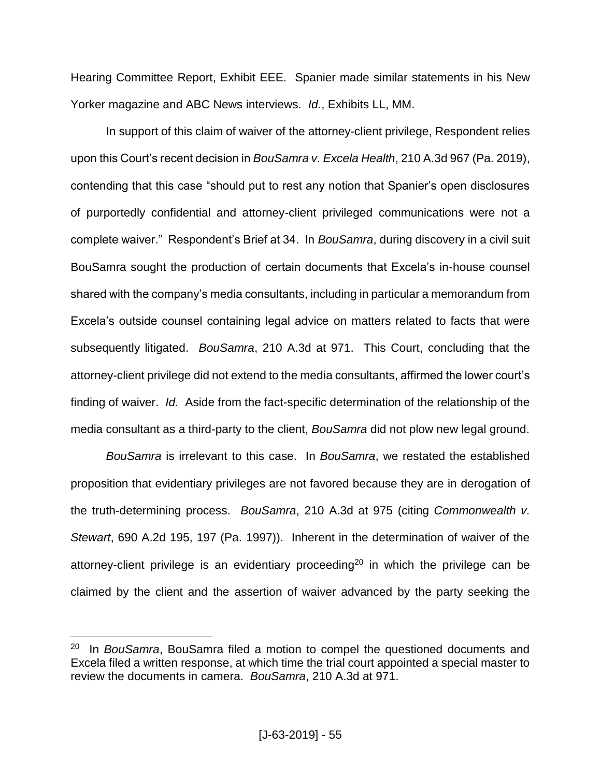Hearing Committee Report, Exhibit EEE. Spanier made similar statements in his New Yorker magazine and ABC News interviews. *Id.*, Exhibits LL, MM.

In support of this claim of waiver of the attorney-client privilege, Respondent relies upon this Court's recent decision in *BouSamra v. Excela Health*, 210 A.3d 967 (Pa. 2019), contending that this case "should put to rest any notion that Spanier's open disclosures of purportedly confidential and attorney-client privileged communications were not a complete waiver." Respondent's Brief at 34. In *BouSamra*, during discovery in a civil suit BouSamra sought the production of certain documents that Excela's in-house counsel shared with the company's media consultants, including in particular a memorandum from Excela's outside counsel containing legal advice on matters related to facts that were subsequently litigated. *BouSamra*, 210 A.3d at 971. This Court, concluding that the attorney-client privilege did not extend to the media consultants, affirmed the lower court's finding of waiver. *Id.* Aside from the fact-specific determination of the relationship of the media consultant as a third-party to the client, *BouSamra* did not plow new legal ground.

*BouSamra* is irrelevant to this case. In *BouSamra*, we restated the established proposition that evidentiary privileges are not favored because they are in derogation of the truth-determining process. *BouSamra*, 210 A.3d at 975 (citing *Commonwealth v. Stewart*, 690 A.2d 195, 197 (Pa. 1997)). Inherent in the determination of waiver of the attorney-client privilege is an evidentiary proceeding<sup>20</sup> in which the privilege can be claimed by the client and the assertion of waiver advanced by the party seeking the

<sup>20</sup> In *BouSamra*, BouSamra filed a motion to compel the questioned documents and Excela filed a written response, at which time the trial court appointed a special master to review the documents in camera. *BouSamra*, 210 A.3d at 971.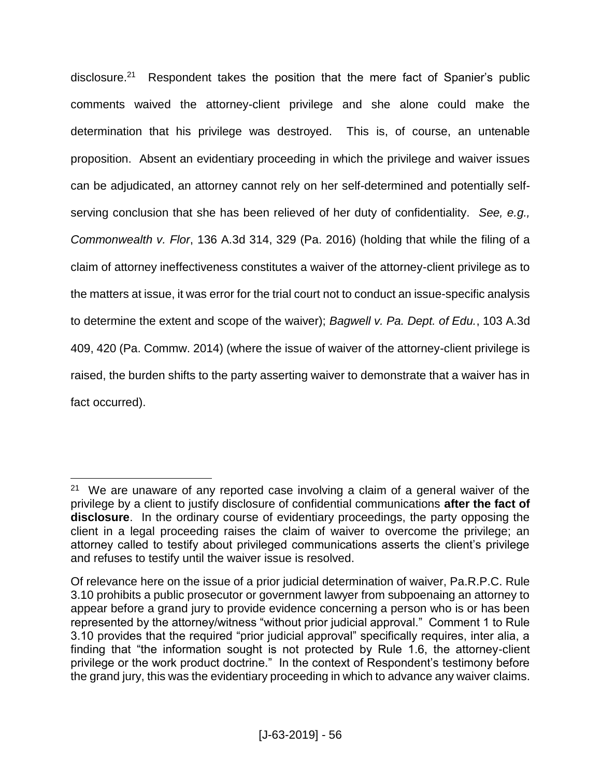disclosure.<sup>21</sup> Respondent takes the position that the mere fact of Spanier's public comments waived the attorney-client privilege and she alone could make the determination that his privilege was destroyed. This is, of course, an untenable proposition. Absent an evidentiary proceeding in which the privilege and waiver issues can be adjudicated, an attorney cannot rely on her self-determined and potentially selfserving conclusion that she has been relieved of her duty of confidentiality. *See, e.g., Commonwealth v. Flor*, 136 A.3d 314, 329 (Pa. 2016) (holding that while the filing of a claim of attorney ineffectiveness constitutes a waiver of the attorney-client privilege as to the matters at issue, it was error for the trial court not to conduct an issue-specific analysis to determine the extent and scope of the waiver); *Bagwell v. Pa. Dept. of Edu.*, 103 A.3d 409, 420 (Pa. Commw. 2014) (where the issue of waiver of the attorney-client privilege is raised, the burden shifts to the party asserting waiver to demonstrate that a waiver has in fact occurred).

<sup>&</sup>lt;sup>21</sup> We are unaware of any reported case involving a claim of a general waiver of the privilege by a client to justify disclosure of confidential communications **after the fact of disclosure**. In the ordinary course of evidentiary proceedings, the party opposing the client in a legal proceeding raises the claim of waiver to overcome the privilege; an attorney called to testify about privileged communications asserts the client's privilege and refuses to testify until the waiver issue is resolved.

Of relevance here on the issue of a prior judicial determination of waiver, Pa.R.P.C. Rule 3.10 prohibits a public prosecutor or government lawyer from subpoenaing an attorney to appear before a grand jury to provide evidence concerning a person who is or has been represented by the attorney/witness "without prior judicial approval." Comment 1 to Rule 3.10 provides that the required "prior judicial approval" specifically requires, inter alia, a finding that "the information sought is not protected by Rule 1.6, the attorney-client privilege or the work product doctrine." In the context of Respondent's testimony before the grand jury, this was the evidentiary proceeding in which to advance any waiver claims.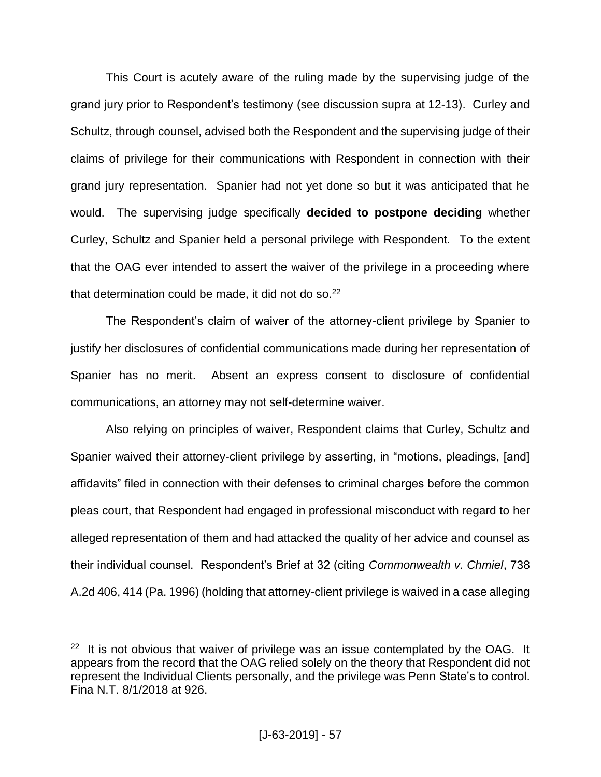This Court is acutely aware of the ruling made by the supervising judge of the grand jury prior to Respondent's testimony (see discussion supra at 12-13). Curley and Schultz, through counsel, advised both the Respondent and the supervising judge of their claims of privilege for their communications with Respondent in connection with their grand jury representation. Spanier had not yet done so but it was anticipated that he would. The supervising judge specifically **decided to postpone deciding** whether Curley, Schultz and Spanier held a personal privilege with Respondent. To the extent that the OAG ever intended to assert the waiver of the privilege in a proceeding where that determination could be made, it did not do so.<sup>22</sup>

The Respondent's claim of waiver of the attorney-client privilege by Spanier to justify her disclosures of confidential communications made during her representation of Spanier has no merit. Absent an express consent to disclosure of confidential communications, an attorney may not self-determine waiver.

Also relying on principles of waiver, Respondent claims that Curley, Schultz and Spanier waived their attorney-client privilege by asserting, in "motions, pleadings, [and] affidavits" filed in connection with their defenses to criminal charges before the common pleas court, that Respondent had engaged in professional misconduct with regard to her alleged representation of them and had attacked the quality of her advice and counsel as their individual counsel. Respondent's Brief at 32 (citing *Commonwealth v. Chmiel*, 738 A.2d 406, 414 (Pa. 1996) (holding that attorney-client privilege is waived in a case alleging

 $22$  It is not obvious that waiver of privilege was an issue contemplated by the OAG. It appears from the record that the OAG relied solely on the theory that Respondent did not represent the Individual Clients personally, and the privilege was Penn State's to control. Fina N.T. 8/1/2018 at 926.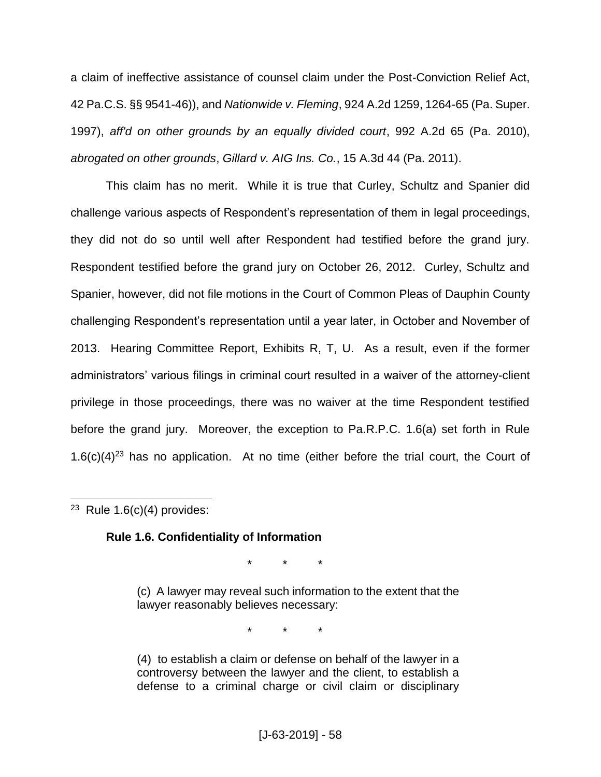a claim of ineffective assistance of counsel claim under the Post-Conviction Relief Act, 42 Pa.C.S. §§ 9541-46)), and *Nationwide v. Fleming*, 924 A.2d 1259, 1264-65 (Pa. Super. 1997), *aff'd on other grounds by an equally divided court*, 992 A.2d 65 (Pa. 2010), *abrogated on other grounds*, *Gillard v. AIG Ins. Co.*, 15 A.3d 44 (Pa. 2011).

This claim has no merit. While it is true that Curley, Schultz and Spanier did challenge various aspects of Respondent's representation of them in legal proceedings, they did not do so until well after Respondent had testified before the grand jury. Respondent testified before the grand jury on October 26, 2012. Curley, Schultz and Spanier, however, did not file motions in the Court of Common Pleas of Dauphin County challenging Respondent's representation until a year later, in October and November of 2013. Hearing Committee Report, Exhibits R, T, U. As a result, even if the former administrators' various filings in criminal court resulted in a waiver of the attorney-client privilege in those proceedings, there was no waiver at the time Respondent testified before the grand jury. Moreover, the exception to Pa.R.P.C. 1.6(a) set forth in Rule  $1.6(c)(4)^{23}$  has no application. At no time (either before the trial court, the Court of

<sup>23</sup> Rule 1.6(c)(4) provides:

 $\overline{a}$ 

## **Rule 1.6. Confidentiality of Information**

\* \* \*

(c) A lawyer may reveal such information to the extent that the lawyer reasonably believes necessary:

\* \* \*

(4) to establish a claim or defense on behalf of the lawyer in a controversy between the lawyer and the client, to establish a defense to a criminal charge or civil claim or disciplinary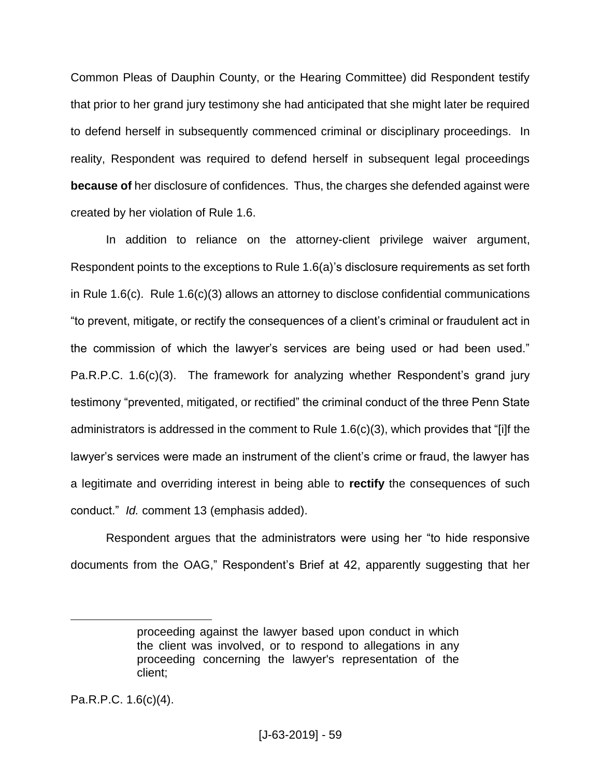Common Pleas of Dauphin County, or the Hearing Committee) did Respondent testify that prior to her grand jury testimony she had anticipated that she might later be required to defend herself in subsequently commenced criminal or disciplinary proceedings. In reality, Respondent was required to defend herself in subsequent legal proceedings **because of** her disclosure of confidences. Thus, the charges she defended against were created by her violation of Rule 1.6.

In addition to reliance on the attorney-client privilege waiver argument, Respondent points to the exceptions to Rule 1.6(a)'s disclosure requirements as set forth in Rule 1.6(c). Rule 1.6(c)(3) allows an attorney to disclose confidential communications "to prevent, mitigate, or rectify the consequences of a client's criminal or fraudulent act in the commission of which the lawyer's services are being used or had been used." Pa.R.P.C. 1.6(c)(3). The framework for analyzing whether Respondent's grand jury testimony "prevented, mitigated, or rectified" the criminal conduct of the three Penn State administrators is addressed in the comment to Rule 1.6(c)(3), which provides that "[i]f the lawyer's services were made an instrument of the client's crime or fraud, the lawyer has a legitimate and overriding interest in being able to **rectify** the consequences of such conduct." *Id.* comment 13 (emphasis added).

Respondent argues that the administrators were using her "to hide responsive documents from the OAG," Respondent's Brief at 42, apparently suggesting that her

proceeding against the lawyer based upon conduct in which the client was involved, or to respond to allegations in any proceeding concerning the lawyer's representation of the client;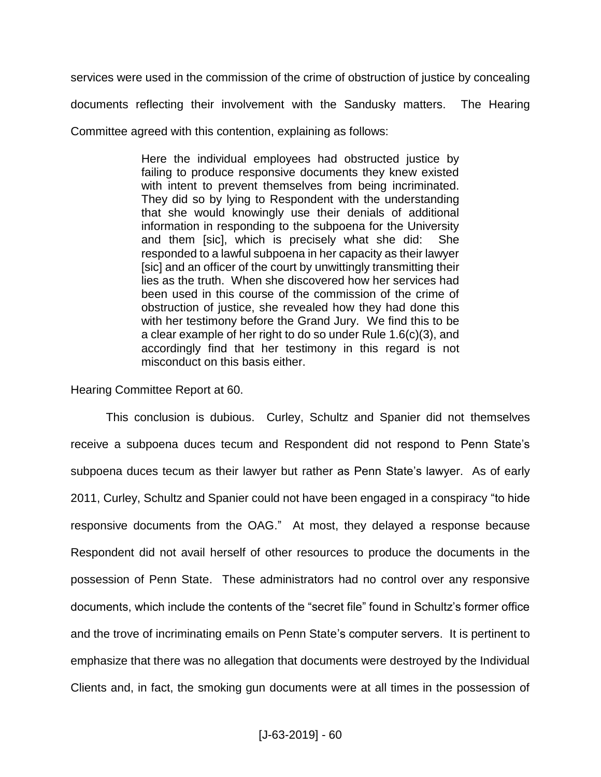services were used in the commission of the crime of obstruction of justice by concealing documents reflecting their involvement with the Sandusky matters. The Hearing Committee agreed with this contention, explaining as follows:

> Here the individual employees had obstructed justice by failing to produce responsive documents they knew existed with intent to prevent themselves from being incriminated. They did so by lying to Respondent with the understanding that she would knowingly use their denials of additional information in responding to the subpoena for the University and them [sic], which is precisely what she did: She responded to a lawful subpoena in her capacity as their lawyer [sic] and an officer of the court by unwittingly transmitting their lies as the truth. When she discovered how her services had been used in this course of the commission of the crime of obstruction of justice, she revealed how they had done this with her testimony before the Grand Jury. We find this to be a clear example of her right to do so under Rule 1.6(c)(3), and accordingly find that her testimony in this regard is not misconduct on this basis either.

Hearing Committee Report at 60.

This conclusion is dubious. Curley, Schultz and Spanier did not themselves receive a subpoena duces tecum and Respondent did not respond to Penn State's subpoena duces tecum as their lawyer but rather as Penn State's lawyer. As of early 2011, Curley, Schultz and Spanier could not have been engaged in a conspiracy "to hide responsive documents from the OAG." At most, they delayed a response because Respondent did not avail herself of other resources to produce the documents in the possession of Penn State. These administrators had no control over any responsive documents, which include the contents of the "secret file" found in Schultz's former office and the trove of incriminating emails on Penn State's computer servers. It is pertinent to emphasize that there was no allegation that documents were destroyed by the Individual Clients and, in fact, the smoking gun documents were at all times in the possession of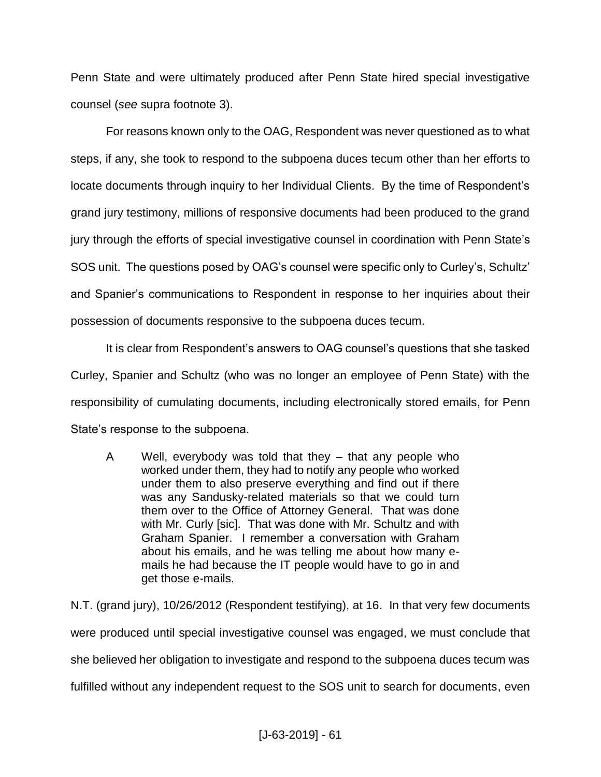Penn State and were ultimately produced after Penn State hired special investigative counsel (*see* supra footnote 3).

For reasons known only to the OAG, Respondent was never questioned as to what steps, if any, she took to respond to the subpoena duces tecum other than her efforts to locate documents through inquiry to her Individual Clients. By the time of Respondent's grand jury testimony, millions of responsive documents had been produced to the grand jury through the efforts of special investigative counsel in coordination with Penn State's SOS unit. The questions posed by OAG's counsel were specific only to Curley's, Schultz' and Spanier's communications to Respondent in response to her inquiries about their possession of documents responsive to the subpoena duces tecum.

It is clear from Respondent's answers to OAG counsel's questions that she tasked Curley, Spanier and Schultz (who was no longer an employee of Penn State) with the responsibility of cumulating documents, including electronically stored emails, for Penn State's response to the subpoena.

A Well, everybody was told that they – that any people who worked under them, they had to notify any people who worked under them to also preserve everything and find out if there was any Sandusky-related materials so that we could turn them over to the Office of Attorney General. That was done with Mr. Curly [sic]. That was done with Mr. Schultz and with Graham Spanier. I remember a conversation with Graham about his emails, and he was telling me about how many emails he had because the IT people would have to go in and get those e-mails.

N.T. (grand jury), 10/26/2012 (Respondent testifying), at 16. In that very few documents were produced until special investigative counsel was engaged, we must conclude that she believed her obligation to investigate and respond to the subpoena duces tecum was fulfilled without any independent request to the SOS unit to search for documents, even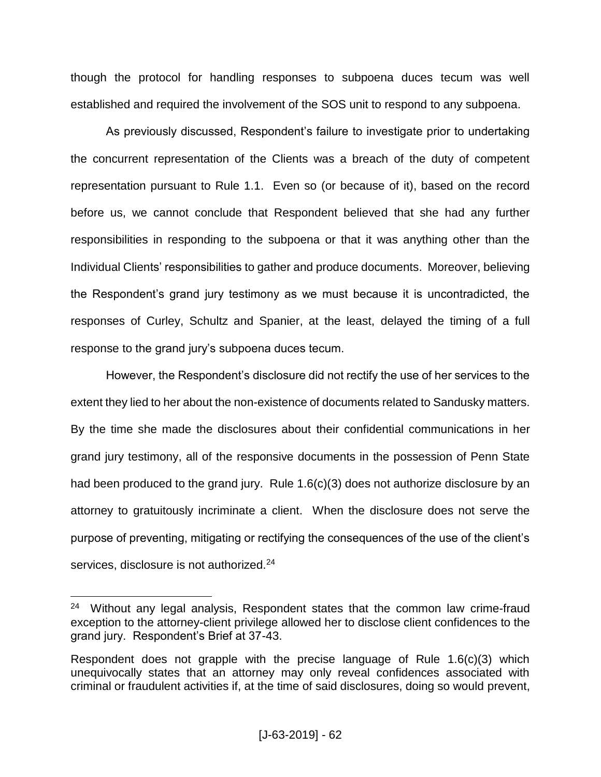though the protocol for handling responses to subpoena duces tecum was well established and required the involvement of the SOS unit to respond to any subpoena.

As previously discussed, Respondent's failure to investigate prior to undertaking the concurrent representation of the Clients was a breach of the duty of competent representation pursuant to Rule 1.1. Even so (or because of it), based on the record before us, we cannot conclude that Respondent believed that she had any further responsibilities in responding to the subpoena or that it was anything other than the Individual Clients' responsibilities to gather and produce documents. Moreover, believing the Respondent's grand jury testimony as we must because it is uncontradicted, the responses of Curley, Schultz and Spanier, at the least, delayed the timing of a full response to the grand jury's subpoena duces tecum.

However, the Respondent's disclosure did not rectify the use of her services to the extent they lied to her about the non-existence of documents related to Sandusky matters. By the time she made the disclosures about their confidential communications in her grand jury testimony, all of the responsive documents in the possession of Penn State had been produced to the grand jury. Rule 1.6(c)(3) does not authorize disclosure by an attorney to gratuitously incriminate a client. When the disclosure does not serve the purpose of preventing, mitigating or rectifying the consequences of the use of the client's services, disclosure is not authorized.<sup>24</sup>

<sup>24</sup> Without any legal analysis, Respondent states that the common law crime-fraud exception to the attorney-client privilege allowed her to disclose client confidences to the grand jury. Respondent's Brief at 37-43.

Respondent does not grapple with the precise language of Rule 1.6(c)(3) which unequivocally states that an attorney may only reveal confidences associated with criminal or fraudulent activities if, at the time of said disclosures, doing so would prevent,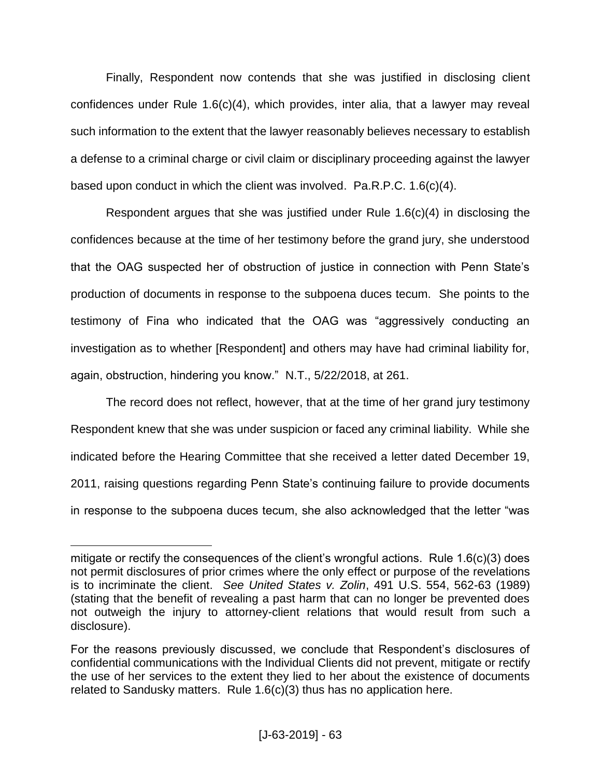Finally, Respondent now contends that she was justified in disclosing client confidences under Rule 1.6(c)(4), which provides, inter alia, that a lawyer may reveal such information to the extent that the lawyer reasonably believes necessary to establish a defense to a criminal charge or civil claim or disciplinary proceeding against the lawyer based upon conduct in which the client was involved. Pa.R.P.C. 1.6(c)(4).

Respondent argues that she was justified under Rule 1.6(c)(4) in disclosing the confidences because at the time of her testimony before the grand jury, she understood that the OAG suspected her of obstruction of justice in connection with Penn State's production of documents in response to the subpoena duces tecum. She points to the testimony of Fina who indicated that the OAG was "aggressively conducting an investigation as to whether [Respondent] and others may have had criminal liability for, again, obstruction, hindering you know." N.T., 5/22/2018, at 261.

The record does not reflect, however, that at the time of her grand jury testimony Respondent knew that she was under suspicion or faced any criminal liability. While she indicated before the Hearing Committee that she received a letter dated December 19, 2011, raising questions regarding Penn State's continuing failure to provide documents in response to the subpoena duces tecum, she also acknowledged that the letter "was

mitigate or rectify the consequences of the client's wrongful actions. Rule 1.6(c)(3) does not permit disclosures of prior crimes where the only effect or purpose of the revelations is to incriminate the client. *See United States v. Zolin*, 491 U.S. 554, 562-63 (1989) (stating that the benefit of revealing a past harm that can no longer be prevented does not outweigh the injury to attorney-client relations that would result from such a disclosure).

For the reasons previously discussed, we conclude that Respondent's disclosures of confidential communications with the Individual Clients did not prevent, mitigate or rectify the use of her services to the extent they lied to her about the existence of documents related to Sandusky matters. Rule 1.6(c)(3) thus has no application here.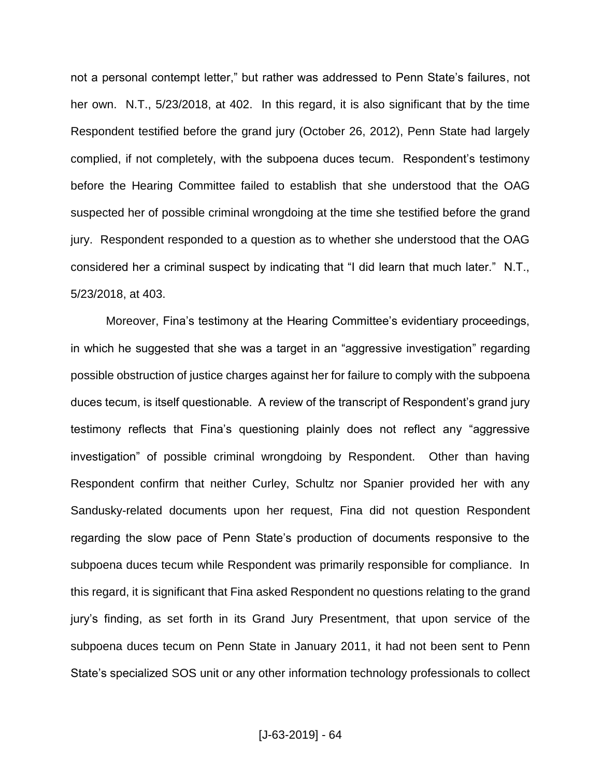not a personal contempt letter," but rather was addressed to Penn State's failures, not her own. N.T., 5/23/2018, at 402. In this regard, it is also significant that by the time Respondent testified before the grand jury (October 26, 2012), Penn State had largely complied, if not completely, with the subpoena duces tecum. Respondent's testimony before the Hearing Committee failed to establish that she understood that the OAG suspected her of possible criminal wrongdoing at the time she testified before the grand jury. Respondent responded to a question as to whether she understood that the OAG considered her a criminal suspect by indicating that "I did learn that much later." N.T., 5/23/2018, at 403.

Moreover, Fina's testimony at the Hearing Committee's evidentiary proceedings, in which he suggested that she was a target in an "aggressive investigation" regarding possible obstruction of justice charges against her for failure to comply with the subpoena duces tecum, is itself questionable. A review of the transcript of Respondent's grand jury testimony reflects that Fina's questioning plainly does not reflect any "aggressive investigation" of possible criminal wrongdoing by Respondent. Other than having Respondent confirm that neither Curley, Schultz nor Spanier provided her with any Sandusky-related documents upon her request, Fina did not question Respondent regarding the slow pace of Penn State's production of documents responsive to the subpoena duces tecum while Respondent was primarily responsible for compliance. In this regard, it is significant that Fina asked Respondent no questions relating to the grand jury's finding, as set forth in its Grand Jury Presentment, that upon service of the subpoena duces tecum on Penn State in January 2011, it had not been sent to Penn State's specialized SOS unit or any other information technology professionals to collect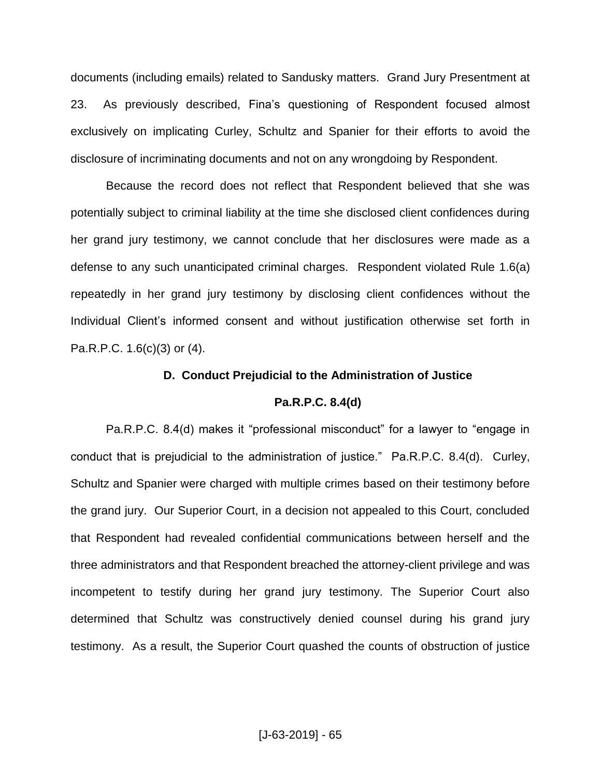documents (including emails) related to Sandusky matters. Grand Jury Presentment at 23. As previously described, Fina's questioning of Respondent focused almost exclusively on implicating Curley, Schultz and Spanier for their efforts to avoid the disclosure of incriminating documents and not on any wrongdoing by Respondent.

Because the record does not reflect that Respondent believed that she was potentially subject to criminal liability at the time she disclosed client confidences during her grand jury testimony, we cannot conclude that her disclosures were made as a defense to any such unanticipated criminal charges. Respondent violated Rule 1.6(a) repeatedly in her grand jury testimony by disclosing client confidences without the Individual Client's informed consent and without justification otherwise set forth in Pa.R.P.C. 1.6(c)(3) or (4).

#### **D. Conduct Prejudicial to the Administration of Justice**

#### **Pa.R.P.C. 8.4(d)**

Pa.R.P.C. 8.4(d) makes it "professional misconduct" for a lawyer to "engage in conduct that is prejudicial to the administration of justice." Pa.R.P.C. 8.4(d). Curley, Schultz and Spanier were charged with multiple crimes based on their testimony before the grand jury. Our Superior Court, in a decision not appealed to this Court, concluded that Respondent had revealed confidential communications between herself and the three administrators and that Respondent breached the attorney-client privilege and was incompetent to testify during her grand jury testimony. The Superior Court also determined that Schultz was constructively denied counsel during his grand jury testimony. As a result, the Superior Court quashed the counts of obstruction of justice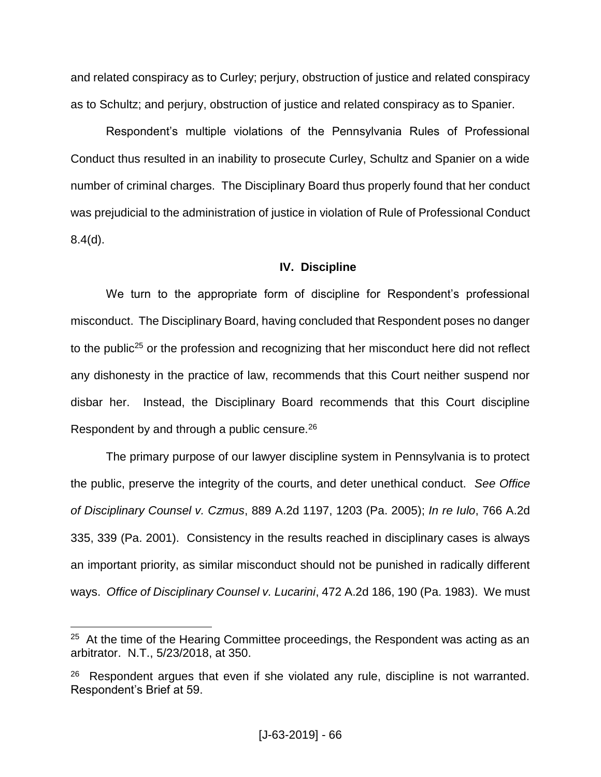and related conspiracy as to Curley; perjury, obstruction of justice and related conspiracy as to Schultz; and perjury, obstruction of justice and related conspiracy as to Spanier.

Respondent's multiple violations of the Pennsylvania Rules of Professional Conduct thus resulted in an inability to prosecute Curley, Schultz and Spanier on a wide number of criminal charges. The Disciplinary Board thus properly found that her conduct was prejudicial to the administration of justice in violation of Rule of Professional Conduct 8.4(d).

## **IV. Discipline**

We turn to the appropriate form of discipline for Respondent's professional misconduct. The Disciplinary Board, having concluded that Respondent poses no danger to the public<sup>25</sup> or the profession and recognizing that her misconduct here did not reflect any dishonesty in the practice of law, recommends that this Court neither suspend nor disbar her. Instead, the Disciplinary Board recommends that this Court discipline Respondent by and through a public censure.<sup>26</sup>

The primary purpose of our lawyer discipline system in Pennsylvania is to protect the public, preserve the integrity of the courts, and deter unethical conduct. *See Office of Disciplinary Counsel v. Czmus*, 889 A.2d 1197, 1203 (Pa. 2005); *In re Iulo*, 766 A.2d 335, 339 (Pa. 2001). Consistency in the results reached in disciplinary cases is always an important priority, as similar misconduct should not be punished in radically different ways. *Office of Disciplinary Counsel v. Lucarini*, 472 A.2d 186, 190 (Pa. 1983). We must

<sup>&</sup>lt;sup>25</sup> At the time of the Hearing Committee proceedings, the Respondent was acting as an arbitrator. N.T., 5/23/2018, at 350.

<sup>26</sup> Respondent argues that even if she violated any rule, discipline is not warranted. Respondent's Brief at 59.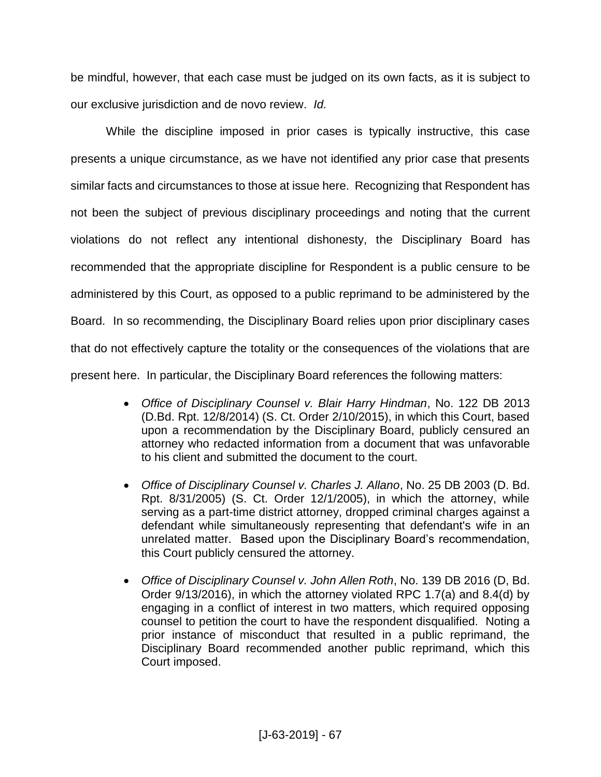be mindful, however, that each case must be judged on its own facts, as it is subject to our exclusive jurisdiction and de novo review. *Id.*

While the discipline imposed in prior cases is typically instructive, this case presents a unique circumstance, as we have not identified any prior case that presents similar facts and circumstances to those at issue here. Recognizing that Respondent has not been the subject of previous disciplinary proceedings and noting that the current violations do not reflect any intentional dishonesty, the Disciplinary Board has recommended that the appropriate discipline for Respondent is a public censure to be administered by this Court, as opposed to a public reprimand to be administered by the Board. In so recommending, the Disciplinary Board relies upon prior disciplinary cases that do not effectively capture the totality or the consequences of the violations that are present here. In particular, the Disciplinary Board references the following matters:

- *Office of Disciplinary Counsel v. Blair Harry Hindman*, No. 122 DB 2013 (D.Bd. Rpt. 12/8/2014) (S. Ct. Order 2/10/2015), in which this Court, based upon a recommendation by the Disciplinary Board, publicly censured an attorney who redacted information from a document that was unfavorable to his client and submitted the document to the court.
- *Office of Disciplinary Counsel v. Charles J. Allano*, No. 25 DB 2003 (D. Bd. Rpt. 8/31/2005) (S. Ct. Order 12/1/2005), in which the attorney, while serving as a part-time district attorney, dropped criminal charges against a defendant while simultaneously representing that defendant's wife in an unrelated matter. Based upon the Disciplinary Board's recommendation, this Court publicly censured the attorney.
- *Office of Disciplinary Counsel v. John Allen Roth*, No. 139 DB 2016 (D, Bd. Order 9/13/2016), in which the attorney violated RPC 1.7(a) and 8.4(d) by engaging in a conflict of interest in two matters, which required opposing counsel to petition the court to have the respondent disqualified. Noting a prior instance of misconduct that resulted in a public reprimand, the Disciplinary Board recommended another public reprimand, which this Court imposed.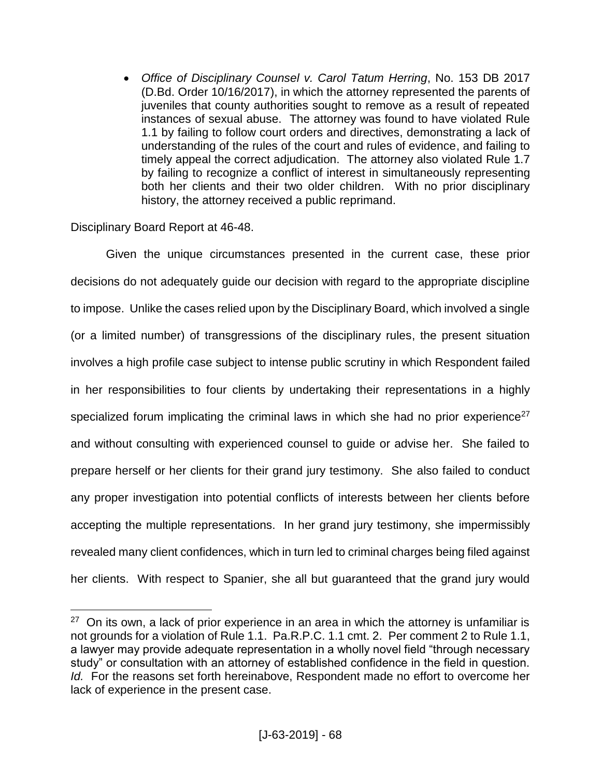*Office of Disciplinary Counsel v. Carol Tatum Herring*, No. 153 DB 2017 (D.Bd. Order 10/16/2017), in which the attorney represented the parents of juveniles that county authorities sought to remove as a result of repeated instances of sexual abuse. The attorney was found to have violated Rule 1.1 by failing to follow court orders and directives, demonstrating a lack of understanding of the rules of the court and rules of evidence, and failing to timely appeal the correct adjudication. The attorney also violated Rule 1.7 by failing to recognize a conflict of interest in simultaneously representing both her clients and their two older children. With no prior disciplinary history, the attorney received a public reprimand.

Disciplinary Board Report at 46-48.

 $\overline{a}$ 

Given the unique circumstances presented in the current case, these prior decisions do not adequately guide our decision with regard to the appropriate discipline to impose. Unlike the cases relied upon by the Disciplinary Board, which involved a single (or a limited number) of transgressions of the disciplinary rules, the present situation involves a high profile case subject to intense public scrutiny in which Respondent failed in her responsibilities to four clients by undertaking their representations in a highly specialized forum implicating the criminal laws in which she had no prior experience<sup>27</sup> and without consulting with experienced counsel to guide or advise her. She failed to prepare herself or her clients for their grand jury testimony. She also failed to conduct any proper investigation into potential conflicts of interests between her clients before accepting the multiple representations. In her grand jury testimony, she impermissibly revealed many client confidences, which in turn led to criminal charges being filed against her clients. With respect to Spanier, she all but guaranteed that the grand jury would

 $27$  On its own, a lack of prior experience in an area in which the attorney is unfamiliar is not grounds for a violation of Rule 1.1. Pa.R.P.C. 1.1 cmt. 2. Per comment 2 to Rule 1.1, a lawyer may provide adequate representation in a wholly novel field "through necessary study" or consultation with an attorney of established confidence in the field in question. *Id.* For the reasons set forth hereinabove, Respondent made no effort to overcome her lack of experience in the present case.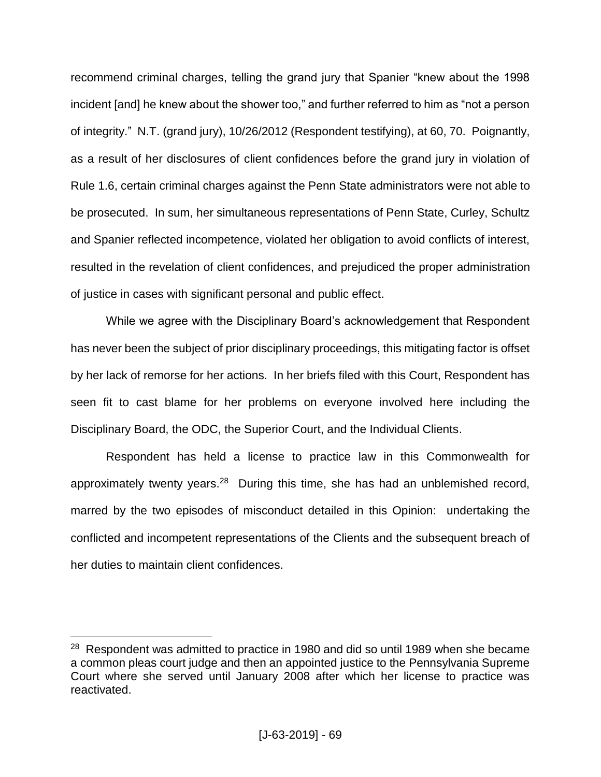recommend criminal charges, telling the grand jury that Spanier "knew about the 1998 incident [and] he knew about the shower too," and further referred to him as "not a person of integrity." N.T. (grand jury), 10/26/2012 (Respondent testifying), at 60, 70. Poignantly, as a result of her disclosures of client confidences before the grand jury in violation of Rule 1.6, certain criminal charges against the Penn State administrators were not able to be prosecuted. In sum, her simultaneous representations of Penn State, Curley, Schultz and Spanier reflected incompetence, violated her obligation to avoid conflicts of interest, resulted in the revelation of client confidences, and prejudiced the proper administration of justice in cases with significant personal and public effect.

While we agree with the Disciplinary Board's acknowledgement that Respondent has never been the subject of prior disciplinary proceedings, this mitigating factor is offset by her lack of remorse for her actions. In her briefs filed with this Court, Respondent has seen fit to cast blame for her problems on everyone involved here including the Disciplinary Board, the ODC, the Superior Court, and the Individual Clients.

Respondent has held a license to practice law in this Commonwealth for approximately twenty years.<sup>28</sup> During this time, she has had an unblemished record, marred by the two episodes of misconduct detailed in this Opinion: undertaking the conflicted and incompetent representations of the Clients and the subsequent breach of her duties to maintain client confidences.

<sup>&</sup>lt;sup>28</sup> Respondent was admitted to practice in 1980 and did so until 1989 when she became a common pleas court judge and then an appointed justice to the Pennsylvania Supreme Court where she served until January 2008 after which her license to practice was reactivated.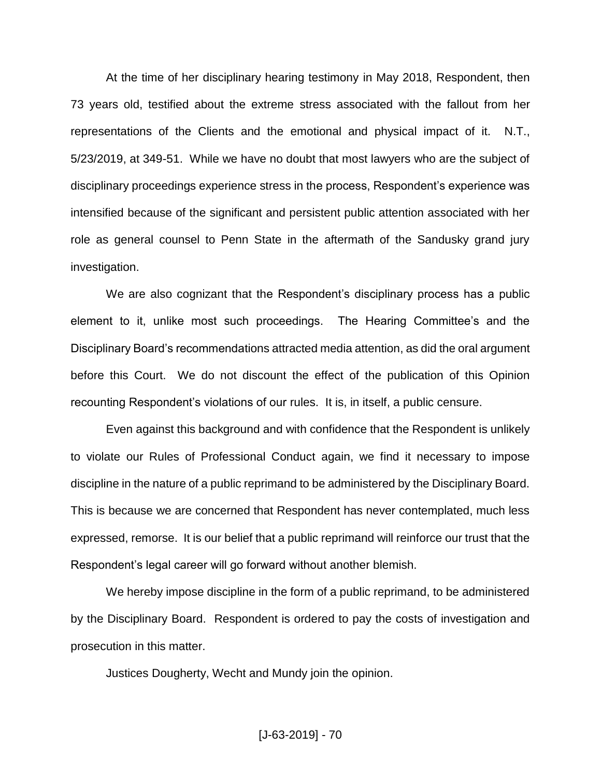At the time of her disciplinary hearing testimony in May 2018, Respondent, then 73 years old, testified about the extreme stress associated with the fallout from her representations of the Clients and the emotional and physical impact of it. N.T., 5/23/2019, at 349-51. While we have no doubt that most lawyers who are the subject of disciplinary proceedings experience stress in the process, Respondent's experience was intensified because of the significant and persistent public attention associated with her role as general counsel to Penn State in the aftermath of the Sandusky grand jury investigation.

We are also cognizant that the Respondent's disciplinary process has a public element to it, unlike most such proceedings. The Hearing Committee's and the Disciplinary Board's recommendations attracted media attention, as did the oral argument before this Court. We do not discount the effect of the publication of this Opinion recounting Respondent's violations of our rules. It is, in itself, a public censure.

Even against this background and with confidence that the Respondent is unlikely to violate our Rules of Professional Conduct again, we find it necessary to impose discipline in the nature of a public reprimand to be administered by the Disciplinary Board. This is because we are concerned that Respondent has never contemplated, much less expressed, remorse. It is our belief that a public reprimand will reinforce our trust that the Respondent's legal career will go forward without another blemish.

We hereby impose discipline in the form of a public reprimand, to be administered by the Disciplinary Board. Respondent is ordered to pay the costs of investigation and prosecution in this matter.

Justices Dougherty, Wecht and Mundy join the opinion.